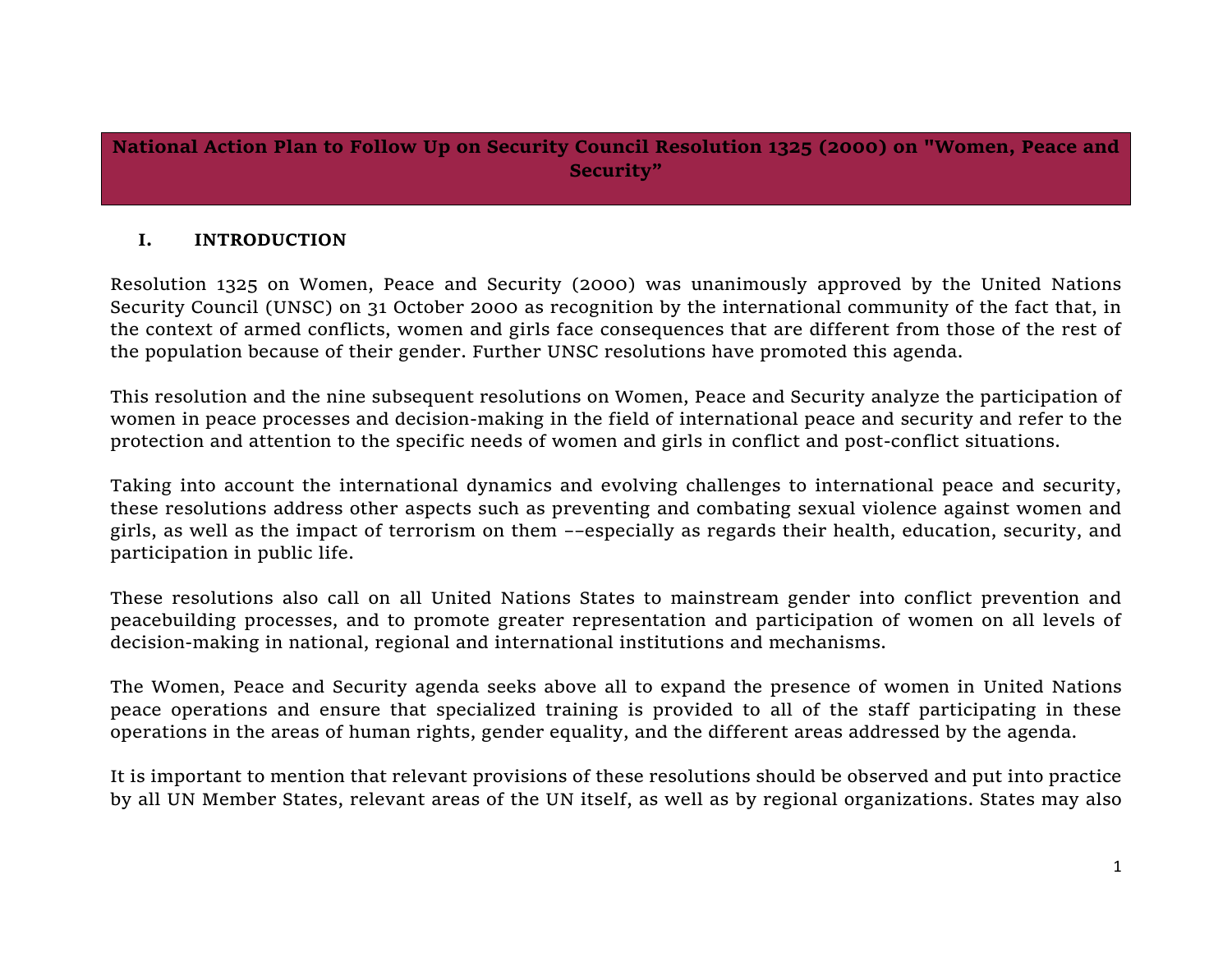**National Action Plan to Follow Up on Security Council Resolution 1325 (2000) on "Women, Peace and Security"**

## **I. INTRODUCTION**

Resolution 1325 on Women, Peace and Security (2000) was unanimously approved by the United Nations Security Council (UNSC) on 31 October 2000 as recognition by the international community of the fact that, in the context of armed conflicts, women and girls face consequences that are different from those of the rest of the population because of their gender. Further UNSC resolutions have promoted this agenda.

This resolution and the nine subsequent resolutions on Women, Peace and Security analyze the participation of women in peace processes and decision-making in the field of international peace and security and refer to the protection and attention to the specific needs of women and girls in conflict and post-conflict situations.

Taking into account the international dynamics and evolving challenges to international peace and security, these resolutions address other aspects such as preventing and combating sexual violence against women and girls, as well as the impact of terrorism on them ––especially as regards their health, education, security, and participation in public life.

These resolutions also call on all United Nations States to mainstream gender into conflict prevention and peacebuilding processes, and to promote greater representation and participation of women on all levels of decision-making in national, regional and international institutions and mechanisms.

The Women, Peace and Security agenda seeks above all to expand the presence of women in United Nations peace operations and ensure that specialized training is provided to all of the staff participating in these operations in the areas of human rights, gender equality, and the different areas addressed by the agenda.

It is important to mention that relevant provisions of these resolutions should be observed and put into practice by all UN Member States, relevant areas of the UN itself, as well as by regional organizations. States may also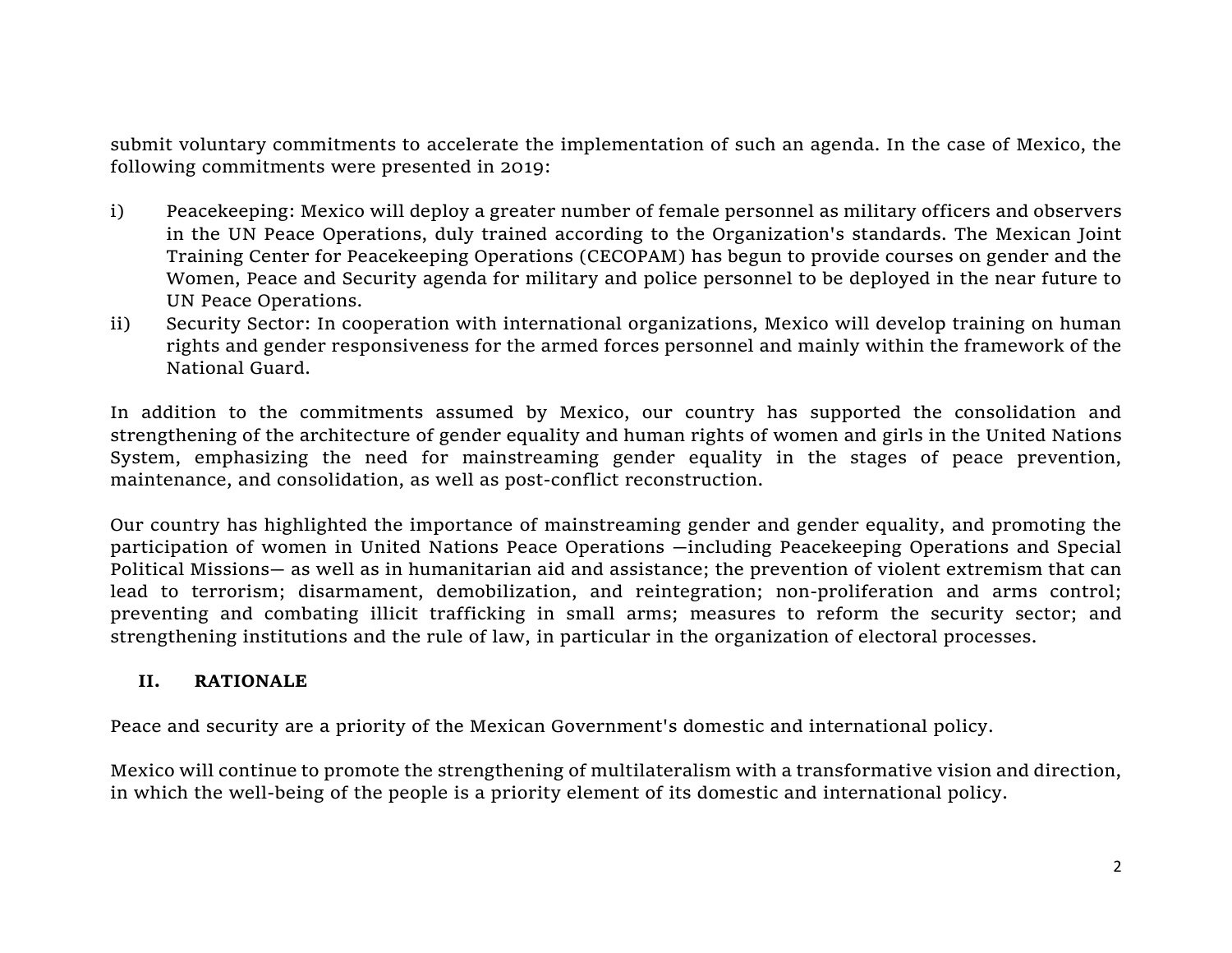submit voluntary commitments to accelerate the implementation of such an agenda. In the case of Mexico, the following commitments were presented in 2019:

- i) Peacekeeping: Mexico will deploy a greater number of female personnel as military officers and observers in the UN Peace Operations, duly trained according to the Organization's standards. The Mexican Joint Training Center for Peacekeeping Operations (CECOPAM) has begun to provide courses on gender and the Women, Peace and Security agenda for military and police personnel to be deployed in the near future to UN Peace Operations.
- ii) Security Sector: In cooperation with international organizations, Mexico will develop training on human rights and gender responsiveness for the armed forces personnel and mainly within the framework of the National Guard.

In addition to the commitments assumed by Mexico, our country has supported the consolidation and strengthening of the architecture of gender equality and human rights of women and girls in the United Nations System, emphasizing the need for mainstreaming gender equality in the stages of peace prevention, maintenance, and consolidation, as well as post-conflict reconstruction.

Our country has highlighted the importance of mainstreaming gender and gender equality, and promoting the participation of women in United Nations Peace Operations —including Peacekeeping Operations and Special Political Missions— as well as in humanitarian aid and assistance; the prevention of violent extremism that can lead to terrorism; disarmament, demobilization, and reintegration; non-proliferation and arms control; preventing and combating illicit trafficking in small arms; measures to reform the security sector; and strengthening institutions and the rule of law, in particular in the organization of electoral processes.

## **II. RATIONALE**

Peace and security are a priority of the Mexican Government's domestic and international policy.

Mexico will continue to promote the strengthening of multilateralism with a transformative vision and direction, in which the well-being of the people is a priority element of its domestic and international policy.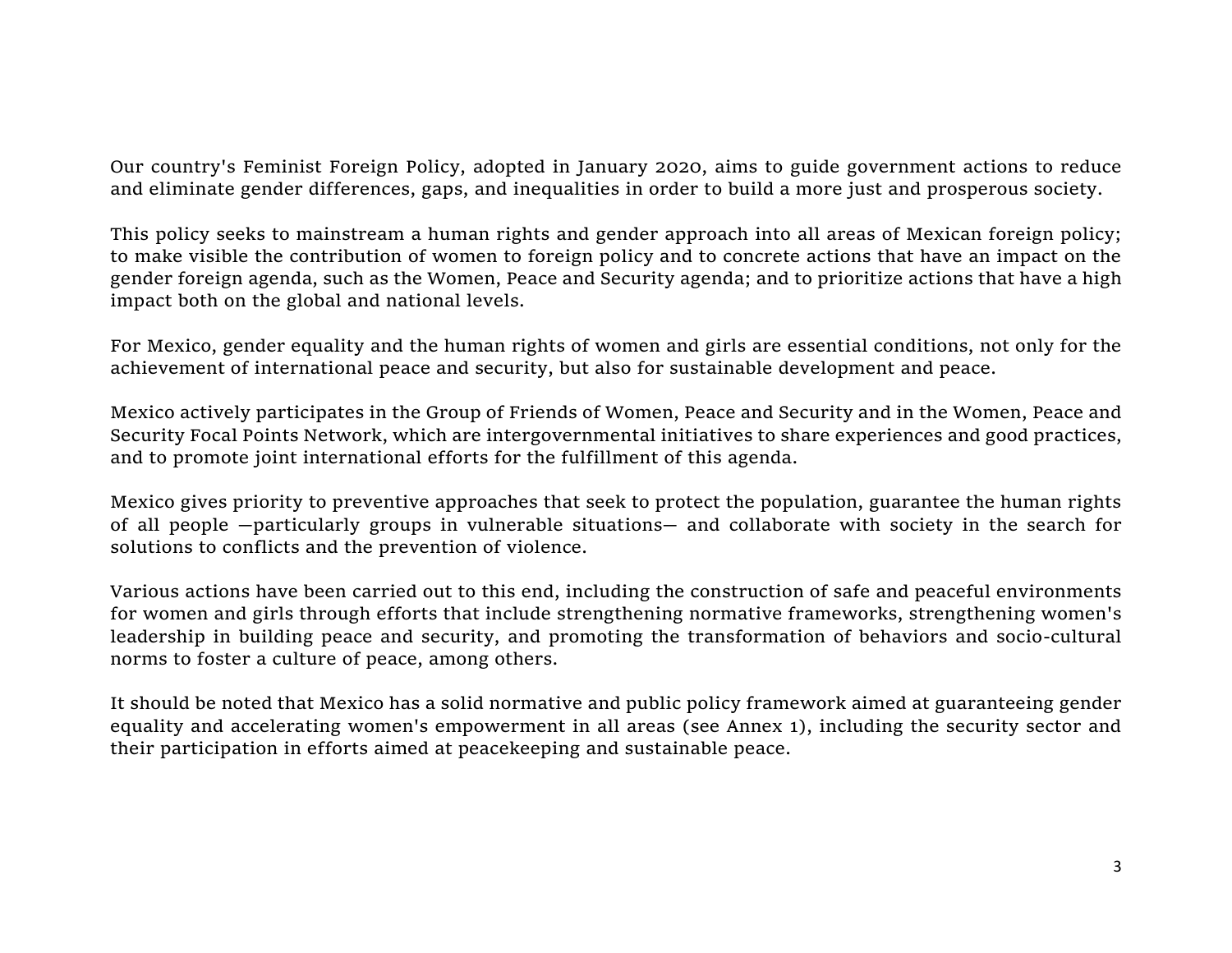Our country's Feminist Foreign Policy, adopted in January 2020, aims to guide government actions to reduce and eliminate gender differences, gaps, and inequalities in order to build a more just and prosperous society.

This policy seeks to mainstream a human rights and gender approach into all areas of Mexican foreign policy; to make visible the contribution of women to foreign policy and to concrete actions that have an impact on the gender foreign agenda, such as the Women, Peace and Security agenda; and to prioritize actions that have a high impact both on the global and national levels.

For Mexico, gender equality and the human rights of women and girls are essential conditions, not only for the achievement of international peace and security, but also for sustainable development and peace.

Mexico actively participates in the Group of Friends of Women, Peace and Security and in the Women, Peace and Security Focal Points Network, which are intergovernmental initiatives to share experiences and good practices, and to promote joint international efforts for the fulfillment of this agenda.

Mexico gives priority to preventive approaches that seek to protect the population, guarantee the human rights of all people —particularly groups in vulnerable situations— and collaborate with society in the search for solutions to conflicts and the prevention of violence.

Various actions have been carried out to this end, including the construction of safe and peaceful environments for women and girls through efforts that include strengthening normative frameworks, strengthening women's leadership in building peace and security, and promoting the transformation of behaviors and socio-cultural norms to foster a culture of peace, among others.

It should be noted that Mexico has a solid normative and public policy framework aimed at guaranteeing gender equality and accelerating women's empowerment in all areas (see Annex 1), including the security sector and their participation in efforts aimed at peacekeeping and sustainable peace.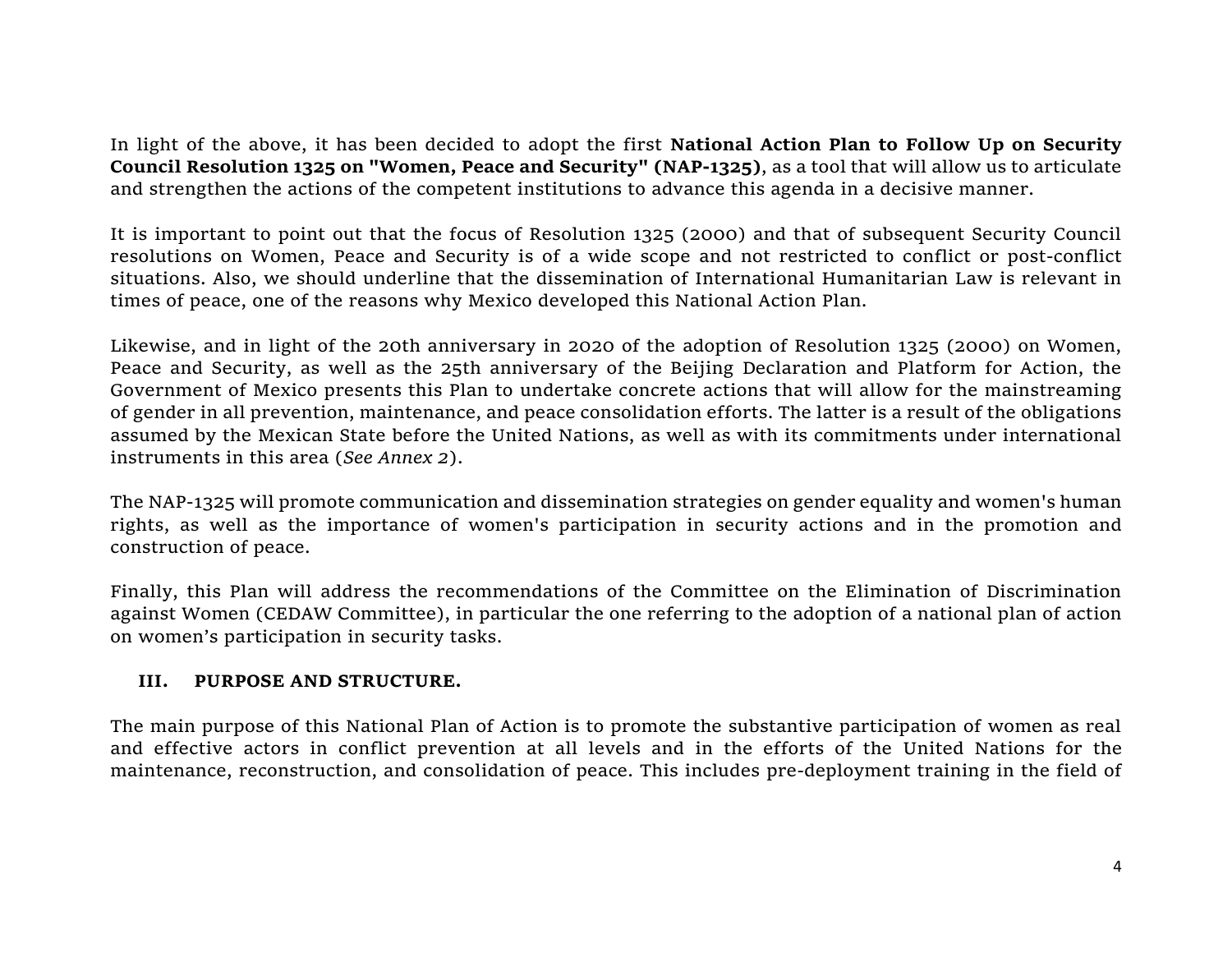In light of the above, it has been decided to adopt the first **National Action Plan to Follow Up on Security Council Resolution 1325 on "Women, Peace and Security" (NAP-1325)**, as a tool that will allow us to articulate and strengthen the actions of the competent institutions to advance this agenda in a decisive manner.

It is important to point out that the focus of Resolution 1325 (2000) and that of subsequent Security Council resolutions on Women, Peace and Security is of a wide scope and not restricted to conflict or post-conflict situations. Also, we should underline that the dissemination of International Humanitarian Law is relevant in times of peace, one of the reasons why Mexico developed this National Action Plan.

Likewise, and in light of the 20th anniversary in 2020 of the adoption of Resolution 1325 (2000) on Women, Peace and Security, as well as the 25th anniversary of the Beijing Declaration and Platform for Action, the Government of Mexico presents this Plan to undertake concrete actions that will allow for the mainstreaming of gender in all prevention, maintenance, and peace consolidation efforts. The latter is a result of the obligations assumed by the Mexican State before the United Nations, as well as with its commitments under international instruments in this area (*See Annex 2*).

The NAP-1325 will promote communication and dissemination strategies on gender equality and women's human rights, as well as the importance of women's participation in security actions and in the promotion and construction of peace.

Finally, this Plan will address the recommendations of the Committee on the Elimination of Discrimination against Women (CEDAW Committee), in particular the one referring to the adoption of a national plan of action on women's participation in security tasks.

## **III. PURPOSE AND STRUCTURE.**

The main purpose of this National Plan of Action is to promote the substantive participation of women as real and effective actors in conflict prevention at all levels and in the efforts of the United Nations for the maintenance, reconstruction, and consolidation of peace. This includes pre-deployment training in the field of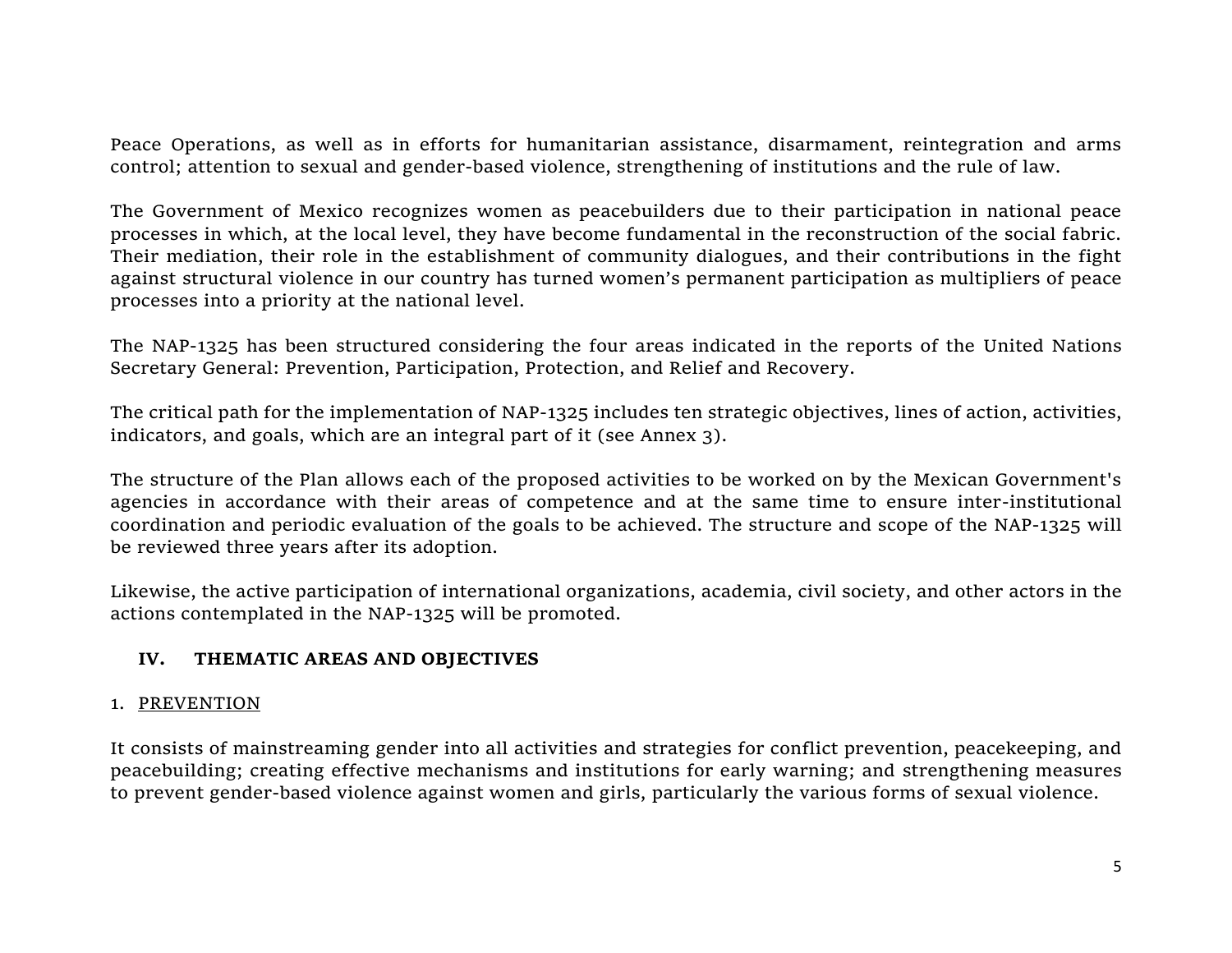Peace Operations, as well as in efforts for humanitarian assistance, disarmament, reintegration and arms control; attention to sexual and gender-based violence, strengthening of institutions and the rule of law.

The Government of Mexico recognizes women as peacebuilders due to their participation in national peace processes in which, at the local level, they have become fundamental in the reconstruction of the social fabric. Their mediation, their role in the establishment of community dialogues, and their contributions in the fight against structural violence in our country has turned women's permanent participation as multipliers of peace processes into a priority at the national level.

The NAP-1325 has been structured considering the four areas indicated in the reports of the United Nations Secretary General: Prevention, Participation, Protection, and Relief and Recovery.

The critical path for the implementation of NAP-1325 includes ten strategic objectives, lines of action, activities, indicators, and goals, which are an integral part of it (see Annex 3).

The structure of the Plan allows each of the proposed activities to be worked on by the Mexican Government's agencies in accordance with their areas of competence and at the same time to ensure inter-institutional coordination and periodic evaluation of the goals to be achieved. The structure and scope of the NAP-1325 will be reviewed three years after its adoption.

Likewise, the active participation of international organizations, academia, civil society, and other actors in the actions contemplated in the NAP-1325 will be promoted.

## **IV. THEMATIC AREAS AND OBJECTIVES**

## 1. PREVENTION

It consists of mainstreaming gender into all activities and strategies for conflict prevention, peacekeeping, and peacebuilding; creating effective mechanisms and institutions for early warning; and strengthening measures to prevent gender-based violence against women and girls, particularly the various forms of sexual violence.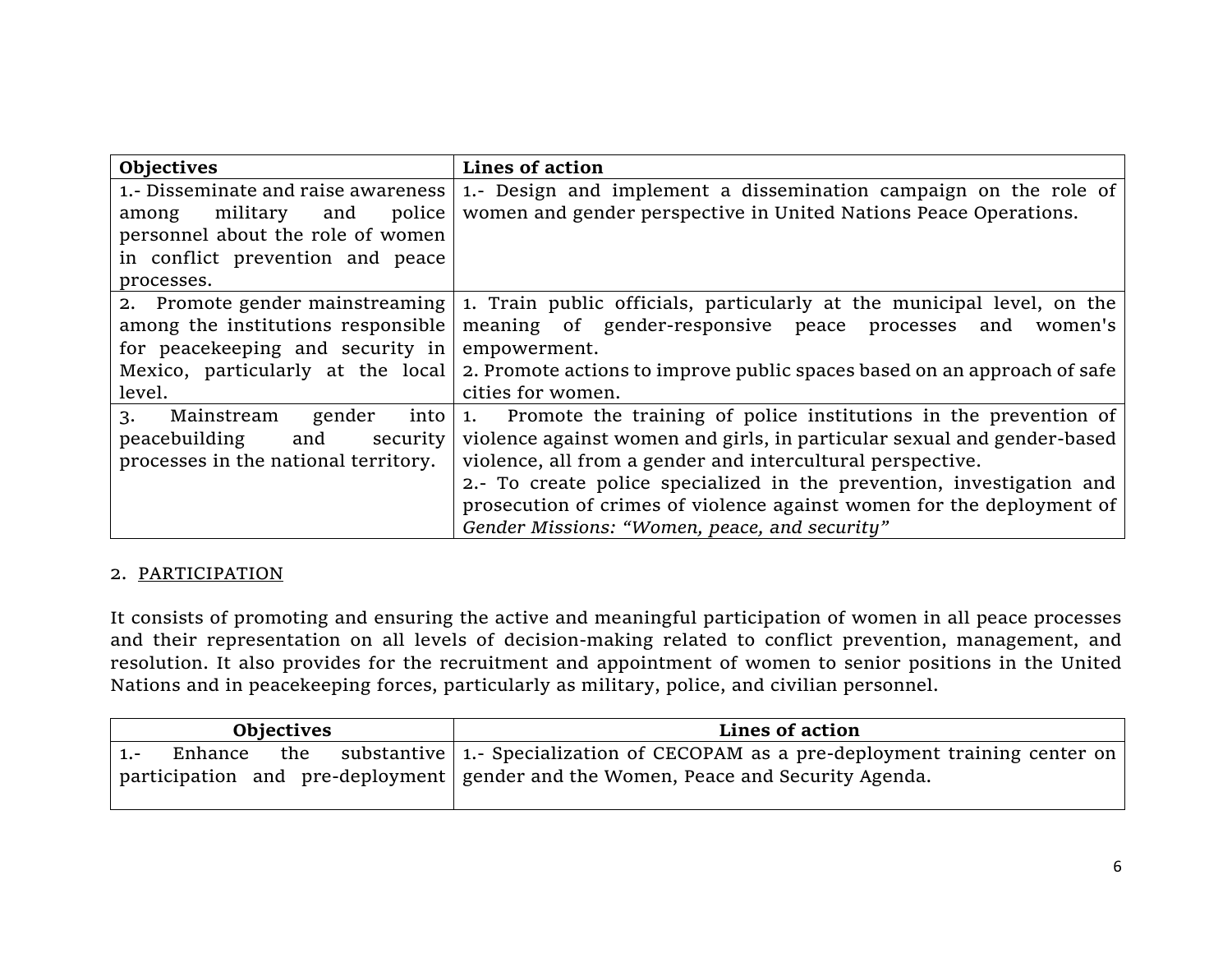| <b>Objectives</b>                    | Lines of action                                                          |  |  |
|--------------------------------------|--------------------------------------------------------------------------|--|--|
| 1.- Disseminate and raise awareness  | 1.- Design and implement a dissemination campaign on the role of         |  |  |
| police<br>military<br>and<br>among   | women and gender perspective in United Nations Peace Operations.         |  |  |
| personnel about the role of women    |                                                                          |  |  |
| in conflict prevention and peace     |                                                                          |  |  |
| processes.                           |                                                                          |  |  |
| 2. Promote gender mainstreaming      | 1. Train public officials, particularly at the municipal level, on the   |  |  |
| among the institutions responsible   | meaning of gender-responsive peace<br>processes<br>women's<br>and        |  |  |
| for peacekeeping and security in     | empowerment.                                                             |  |  |
| Mexico, particularly at the local    | 2. Promote actions to improve public spaces based on an approach of safe |  |  |
| level.                               | cities for women.                                                        |  |  |
| Mainstream<br>into<br>gender<br>3.   | 1. Promote the training of police institutions in the prevention of      |  |  |
| peacebuilding<br>and<br>security     | violence against women and girls, in particular sexual and gender-based  |  |  |
| processes in the national territory. | violence, all from a gender and intercultural perspective.               |  |  |
|                                      | 2.- To create police specialized in the prevention, investigation and    |  |  |
|                                      | prosecution of crimes of violence against women for the deployment of    |  |  |
|                                      | Gender Missions: "Women, peace, and security"                            |  |  |

## 2. PARTICIPATION

It consists of promoting and ensuring the active and meaningful participation of women in all peace processes and their representation on all levels of decision-making related to conflict prevention, management, and resolution. It also provides for the recruitment and appointment of women to senior positions in the United Nations and in peacekeeping forces, particularly as military, police, and civilian personnel.

| <b>Objectives</b> | Lines of action                                                                                |
|-------------------|------------------------------------------------------------------------------------------------|
| Enhance           | the substantive   1.- Specialization of CECOPAM as a pre-deployment training center on $\vert$ |
|                   | participation and pre-deployment gender and the Women, Peace and Security Agenda.              |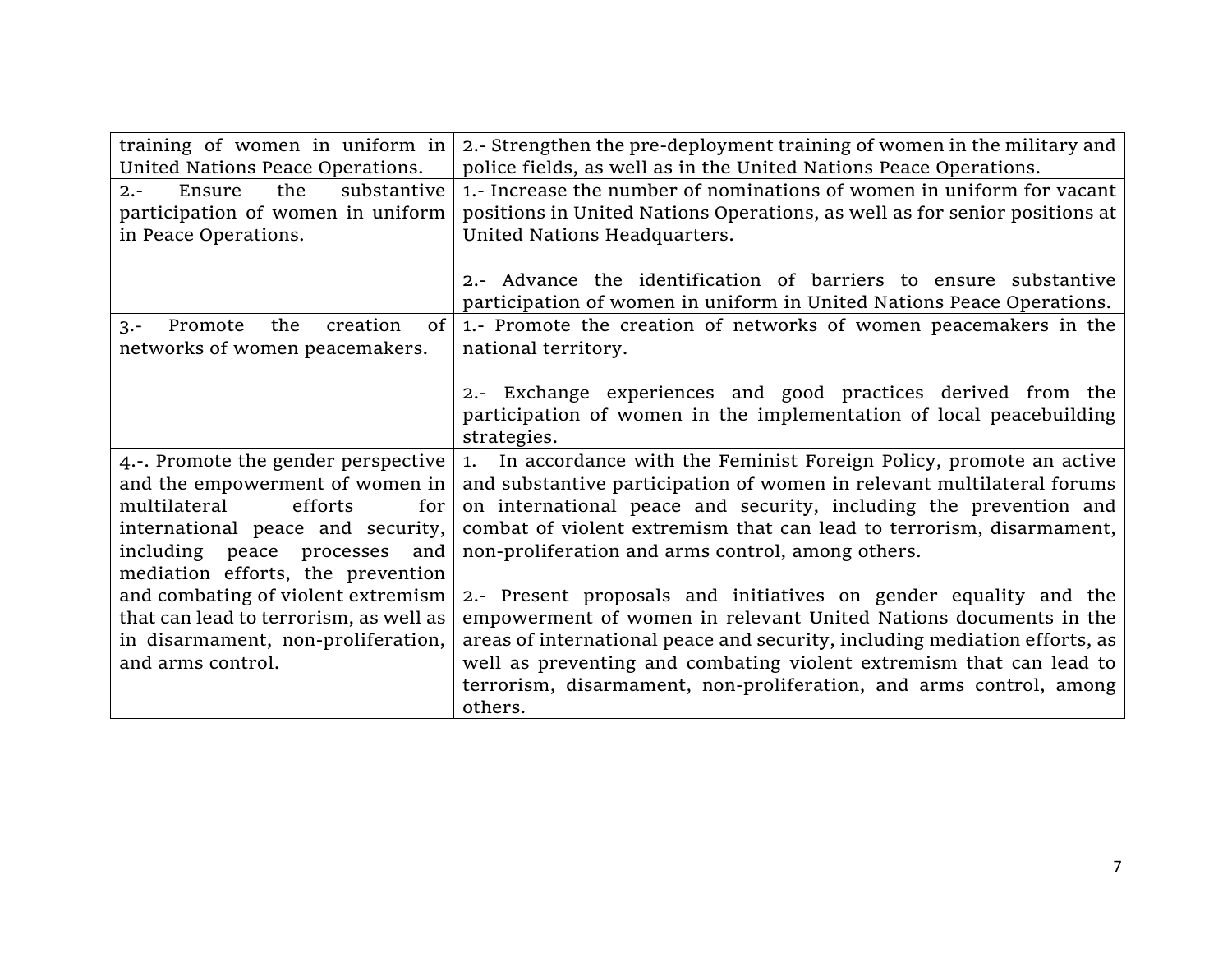| training of women in uniform in           | 2.- Strengthen the pre-deployment training of women in the military and    |
|-------------------------------------------|----------------------------------------------------------------------------|
| United Nations Peace Operations.          | police fields, as well as in the United Nations Peace Operations.          |
| substantive<br>Ensure<br>the<br>$2. -$    | 1.- Increase the number of nominations of women in uniform for vacant      |
| participation of women in uniform         | positions in United Nations Operations, as well as for senior positions at |
| in Peace Operations.                      | United Nations Headquarters.                                               |
|                                           |                                                                            |
|                                           | 2.- Advance the identification of barriers to ensure substantive           |
|                                           | participation of women in uniform in United Nations Peace Operations.      |
| creation<br>Promote<br>the<br>$3 -$<br>0f |                                                                            |
|                                           | 1.- Promote the creation of networks of women peacemakers in the           |
| networks of women peacemakers.            | national territory.                                                        |
|                                           |                                                                            |
|                                           | 2.- Exchange experiences and good practices derived from the               |
|                                           | participation of women in the implementation of local peacebuilding        |
|                                           | strategies.                                                                |
| 4.-. Promote the gender perspective       | 1. In accordance with the Feminist Foreign Policy, promote an active       |
| and the empowerment of women in           | and substantive participation of women in relevant multilateral forums     |
| multilateral<br>efforts<br>for            | on international peace and security, including the prevention and          |
| international peace and security,         | combat of violent extremism that can lead to terrorism, disarmament,       |
| including peace processes<br>and          | non-proliferation and arms control, among others.                          |
| mediation efforts, the prevention         |                                                                            |
|                                           |                                                                            |
| and combating of violent extremism        | 2.- Present proposals and initiatives on gender equality and the           |
| that can lead to terrorism, as well as    | empowerment of women in relevant United Nations documents in the           |
| in disarmament, non-proliferation,        | areas of international peace and security, including mediation efforts, as |
| and arms control.                         | well as preventing and combating violent extremism that can lead to        |
|                                           | terrorism, disarmament, non-proliferation, and arms control, among         |
|                                           | others.                                                                    |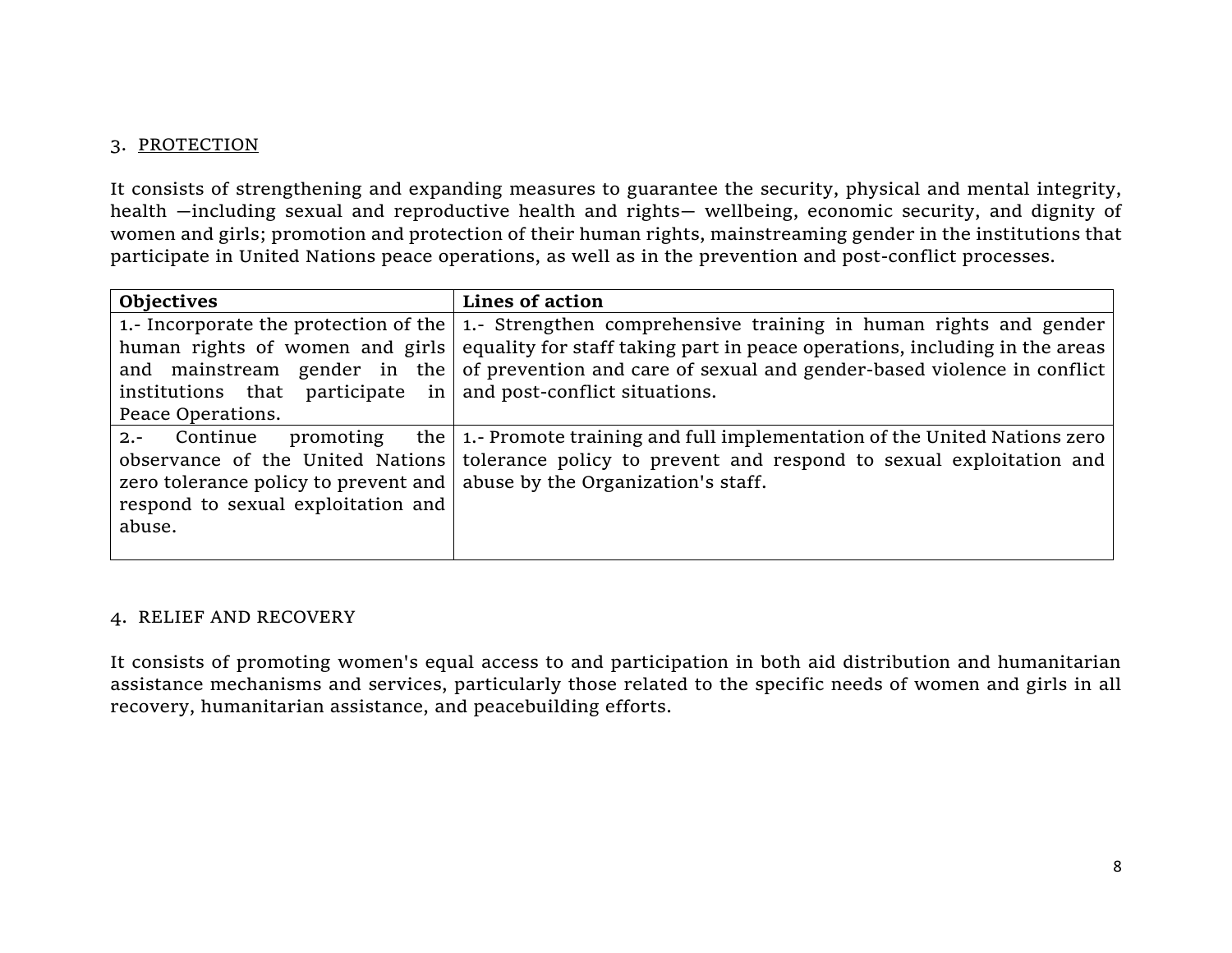## 3. PROTECTION

It consists of strengthening and expanding measures to guarantee the security, physical and mental integrity, health —including sexual and reproductive health and rights— wellbeing, economic security, and dignity of women and girls; promotion and protection of their human rights, mainstreaming gender in the institutions that participate in United Nations peace operations, as well as in the prevention and post-conflict processes.

| <b>Objectives</b>                    | Lines of action                                                                                                |
|--------------------------------------|----------------------------------------------------------------------------------------------------------------|
|                                      | 1.- Incorporate the protection of the $\vert$ 1.- Strengthen comprehensive training in human rights and gender |
| human rights of women and girls      | equality for staff taking part in peace operations, including in the areas                                     |
| and mainstream gender in the         | of prevention and care of sexual and gender-based violence in conflict                                         |
| institutions that participate in     | and post-conflict situations.                                                                                  |
| Peace Operations.                    |                                                                                                                |
| Continue<br>promoting<br>$2. -$      | the   1.- Promote training and full implementation of the United Nations zero                                  |
| observance of the United Nations     | tolerance policy to prevent and respond to sexual exploitation and                                             |
| zero tolerance policy to prevent and | abuse by the Organization's staff.                                                                             |
| respond to sexual exploitation and   |                                                                                                                |
| abuse.                               |                                                                                                                |
|                                      |                                                                                                                |

## 4. RELIEF AND RECOVERY

It consists of promoting women's equal access to and participation in both aid distribution and humanitarian assistance mechanisms and services, particularly those related to the specific needs of women and girls in all recovery, humanitarian assistance, and peacebuilding efforts.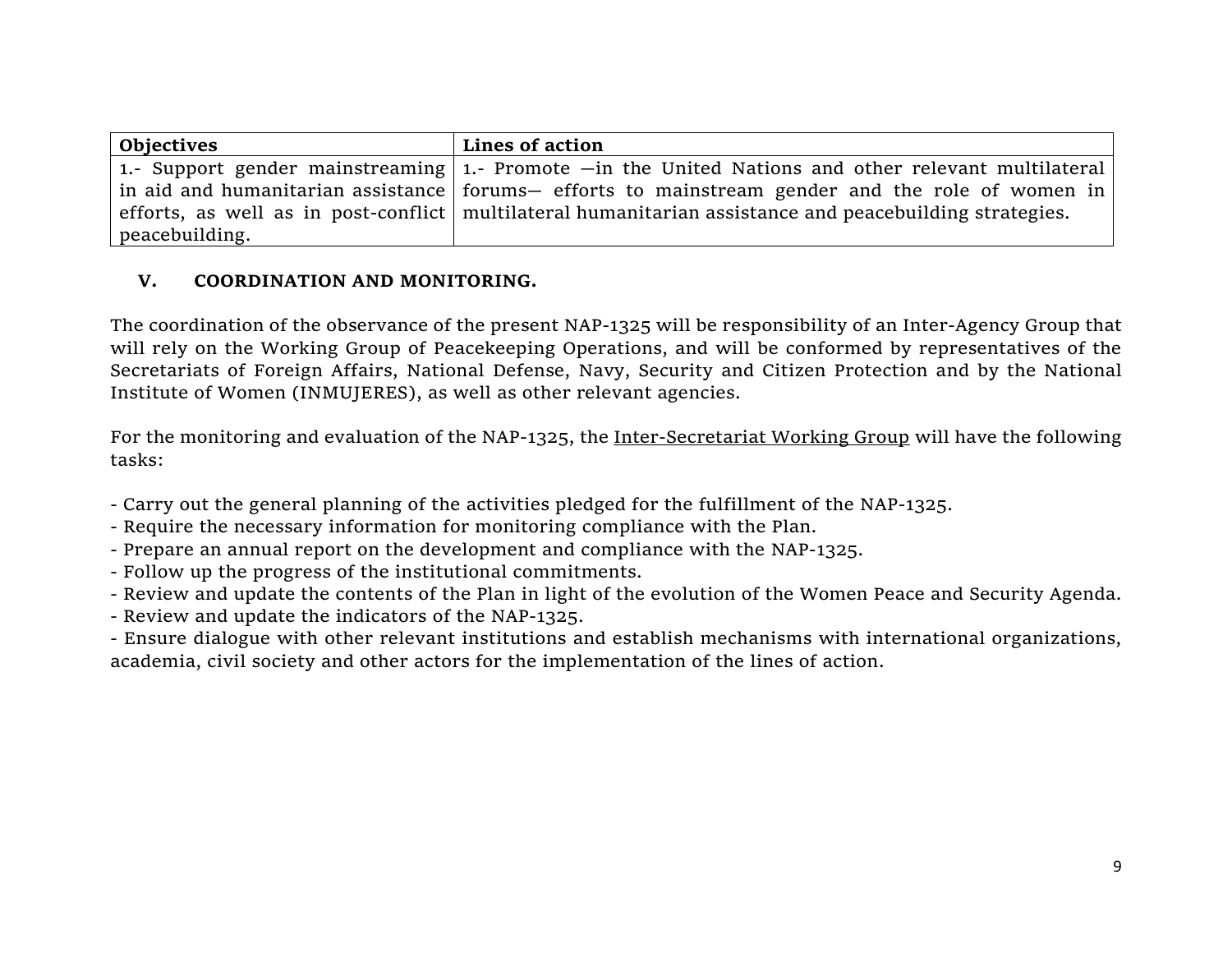| Objectives     | Lines of action                                                                                                 |
|----------------|-----------------------------------------------------------------------------------------------------------------|
|                | 1.- Support gender mainstreaming 1.- Promote $-$ in the United Nations and other relevant multilateral          |
|                | in aid and humanitarian assistance   forums— efforts to mainstream gender and the role of women in              |
|                | efforts, as well as in post-conflict $\vert$ multilateral humanitarian assistance and peacebuilding strategies. |
| peacebuilding. |                                                                                                                 |

## **V. COORDINATION AND MONITORING.**

The coordination of the observance of the present NAP-1325 will be responsibility of an Inter-Agency Group that will rely on the Working Group of Peacekeeping Operations, and will be conformed by representatives of the Secretariats of Foreign Affairs, National Defense, Navy, Security and Citizen Protection and by the National Institute of Women (INMUJERES), as well as other relevant agencies.

For the monitoring and evaluation of the NAP-1325, the Inter-Secretariat Working Group will have the following tasks:

- Carry out the general planning of the activities pledged for the fulfillment of the NAP-1325.
- Require the necessary information for monitoring compliance with the Plan.
- Prepare an annual report on the development and compliance with the NAP-1325.
- Follow up the progress of the institutional commitments.
- Review and update the contents of the Plan in light of the evolution of the Women Peace and Security Agenda.
- Review and update the indicators of the NAP-1325.

- Ensure dialogue with other relevant institutions and establish mechanisms with international organizations, academia, civil society and other actors for the implementation of the lines of action.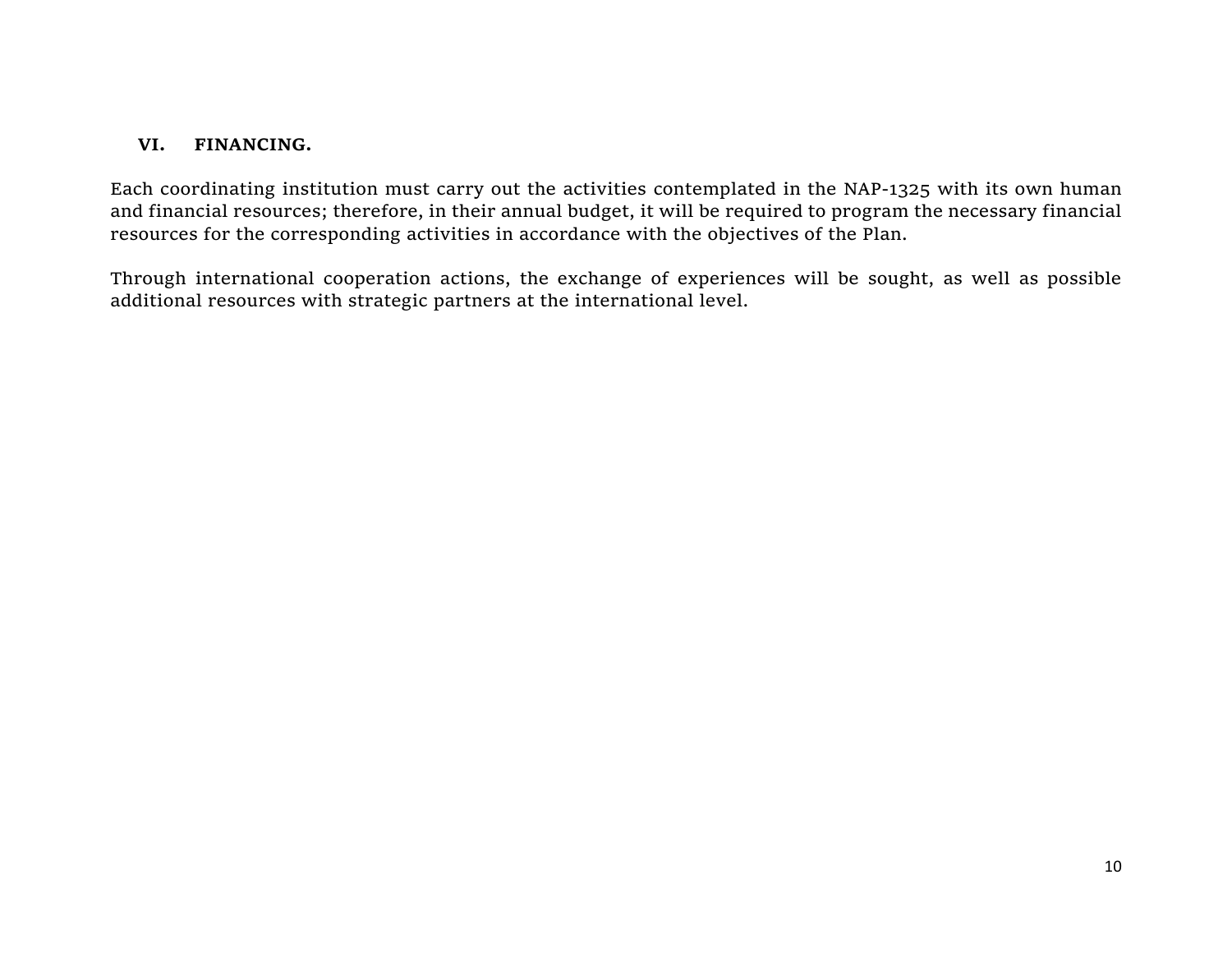## **VI. FINANCING.**

Each coordinating institution must carry out the activities contemplated in the NAP-1325 with its own human and financial resources; therefore, in their annual budget, it will be required to program the necessary financial resources for the corresponding activities in accordance with the objectives of the Plan.

Through international cooperation actions, the exchange of experiences will be sought, as well as possible additional resources with strategic partners at the international level.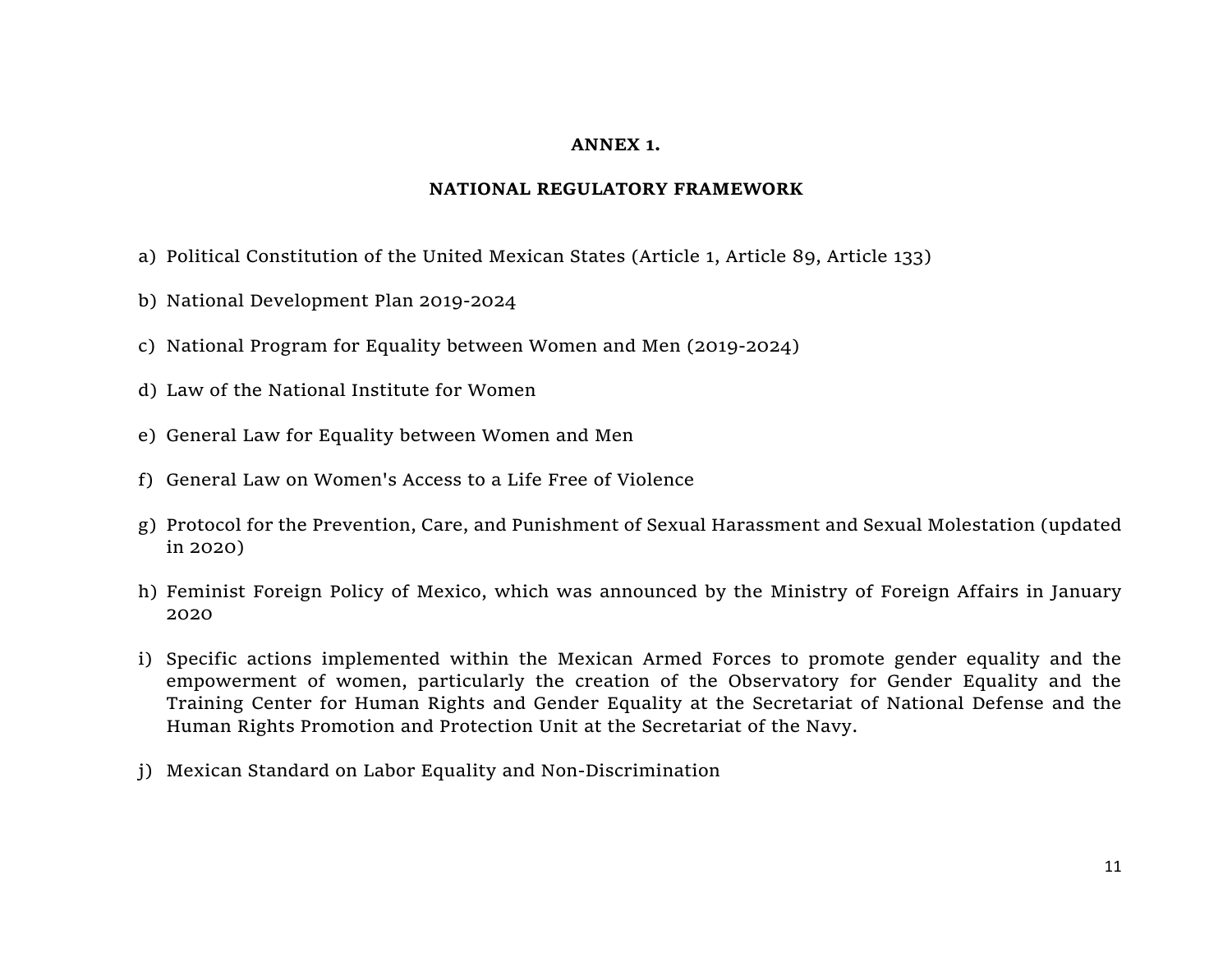#### **ANNEX 1.**

#### **NATIONAL REGULATORY FRAMEWORK**

- a) Political Constitution of the United Mexican States (Article 1, Article 89, Article 133)
- b) National Development Plan 2019-2024
- c) National Program for Equality between Women and Men (2019-2024)
- d) Law of the National Institute for Women
- e) General Law for Equality between Women and Men
- f) General Law on Women's Access to a Life Free of Violence
- g) Protocol for the Prevention, Care, and Punishment of Sexual Harassment and Sexual Molestation (updated in 2020)
- h) Feminist Foreign Policy of Mexico, which was announced by the Ministry of Foreign Affairs in January 2020
- i) Specific actions implemented within the Mexican Armed Forces to promote gender equality and the empowerment of women, particularly the creation of the Observatory for Gender Equality and the Training Center for Human Rights and Gender Equality at the Secretariat of National Defense and the Human Rights Promotion and Protection Unit at the Secretariat of the Navy.
- j) Mexican Standard on Labor Equality and Non-Discrimination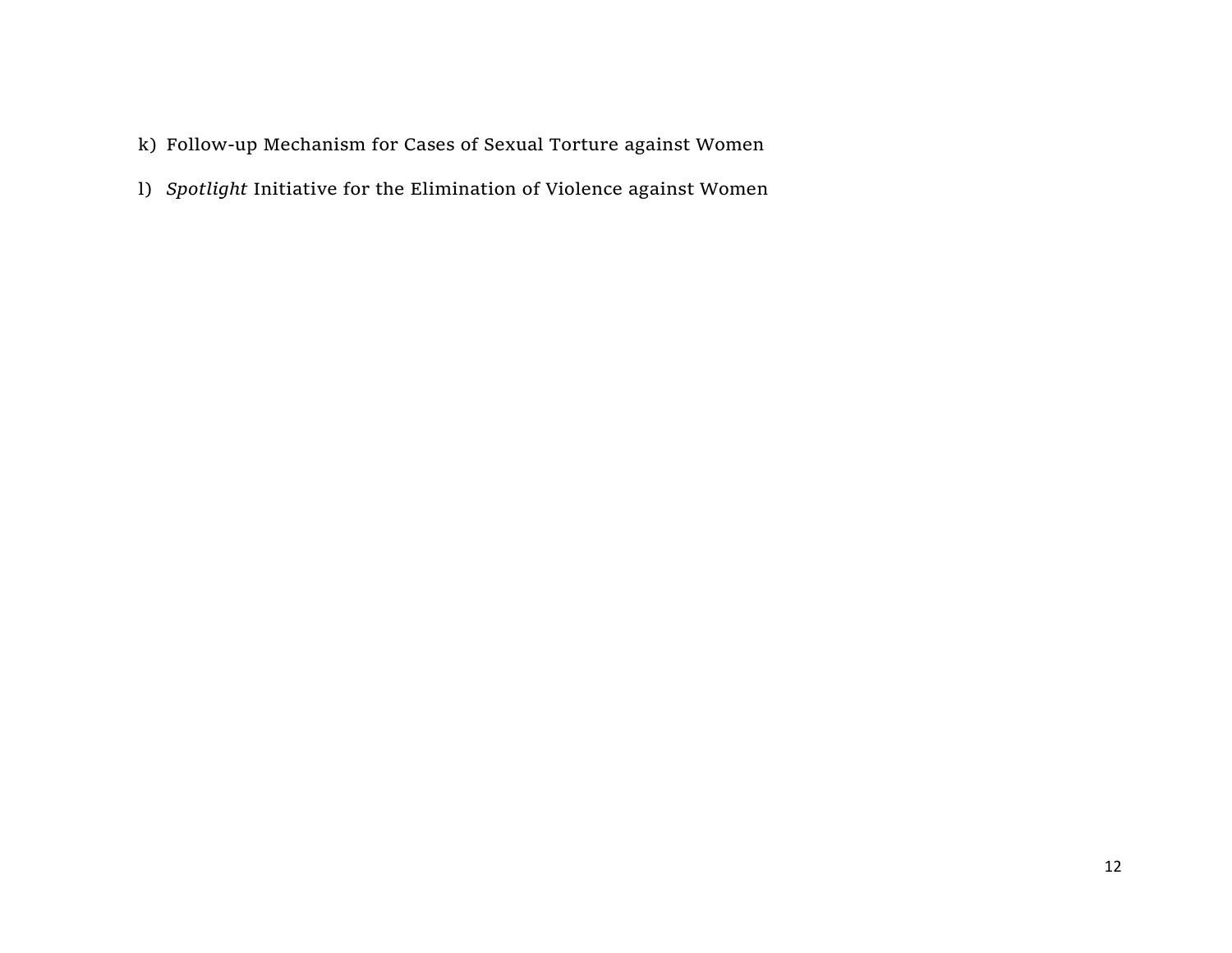- k) Follow-up Mechanism for Cases of Sexual Torture against Women
- l) *Spotlight* Initiative for the Elimination of Violence against Women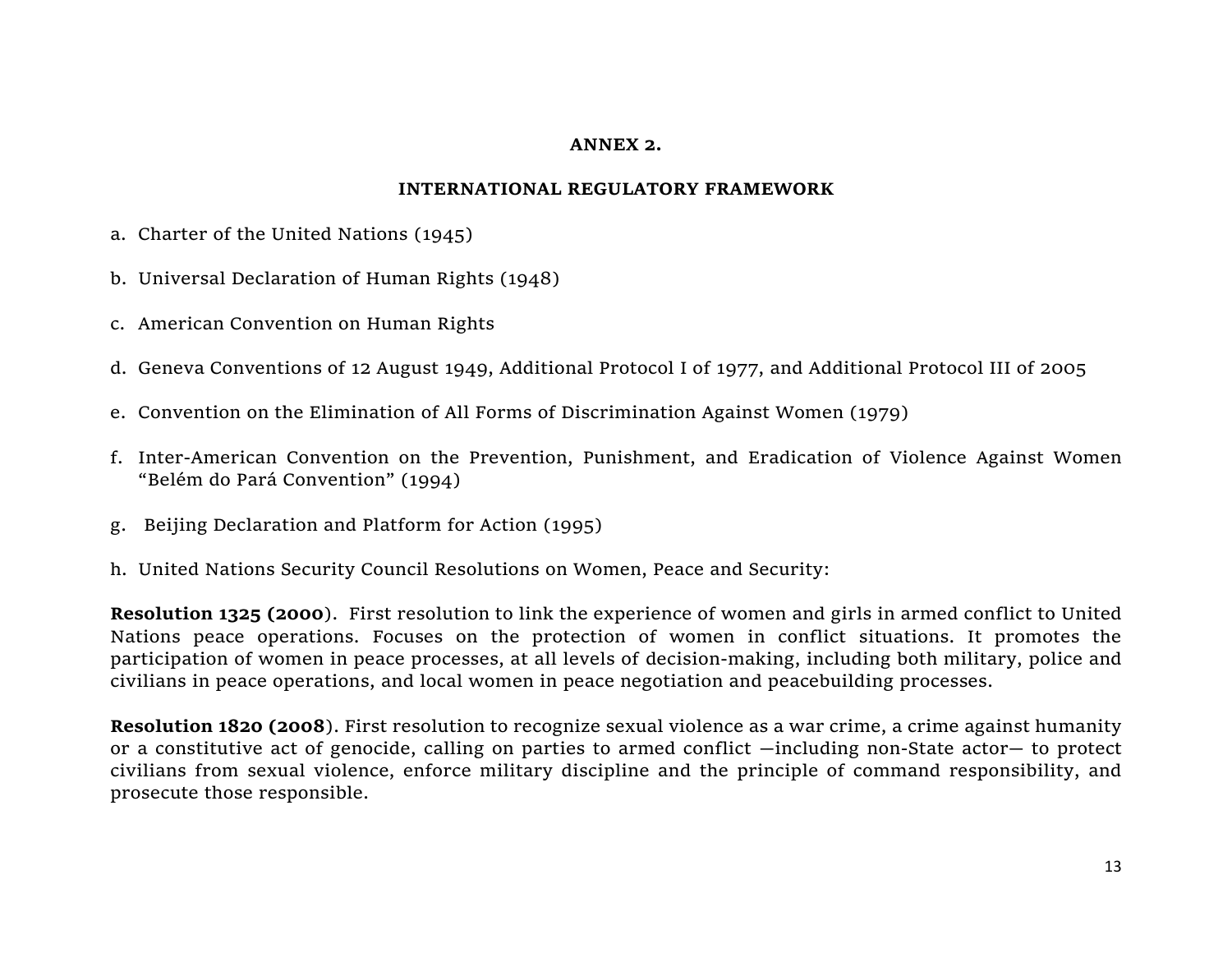#### **ANNEX 2.**

#### **INTERNATIONAL REGULATORY FRAMEWORK**

- a. Charter of the United Nations (1945)
- b. Universal Declaration of Human Rights (1948)
- c. American Convention on Human Rights
- d. Geneva Conventions of 12 August 1949, Additional Protocol I of 1977, and Additional Protocol III of 2005
- e. Convention on the Elimination of All Forms of Discrimination Against Women (1979)
- f. Inter-American Convention on the Prevention, Punishment, and Eradication of Violence Against Women "Belém do Pará Convention" (1994)
- g. Beijing Declaration and Platform for Action (1995)
- h. United Nations Security Council Resolutions on Women, Peace and Security:

**Resolution 1325 (2000**). First resolution to link the experience of women and girls in armed conflict to United Nations peace operations. Focuses on the protection of women in conflict situations. It promotes the participation of women in peace processes, at all levels of decision-making, including both military, police and civilians in peace operations, and local women in peace negotiation and peacebuilding processes.

**Resolution 1820 (2008**). First resolution to recognize sexual violence as a war crime, a crime against humanity or a constitutive act of genocide, calling on parties to armed conflict —including non-State actor— to protect civilians from sexual violence, enforce military discipline and the principle of command responsibility, and prosecute those responsible.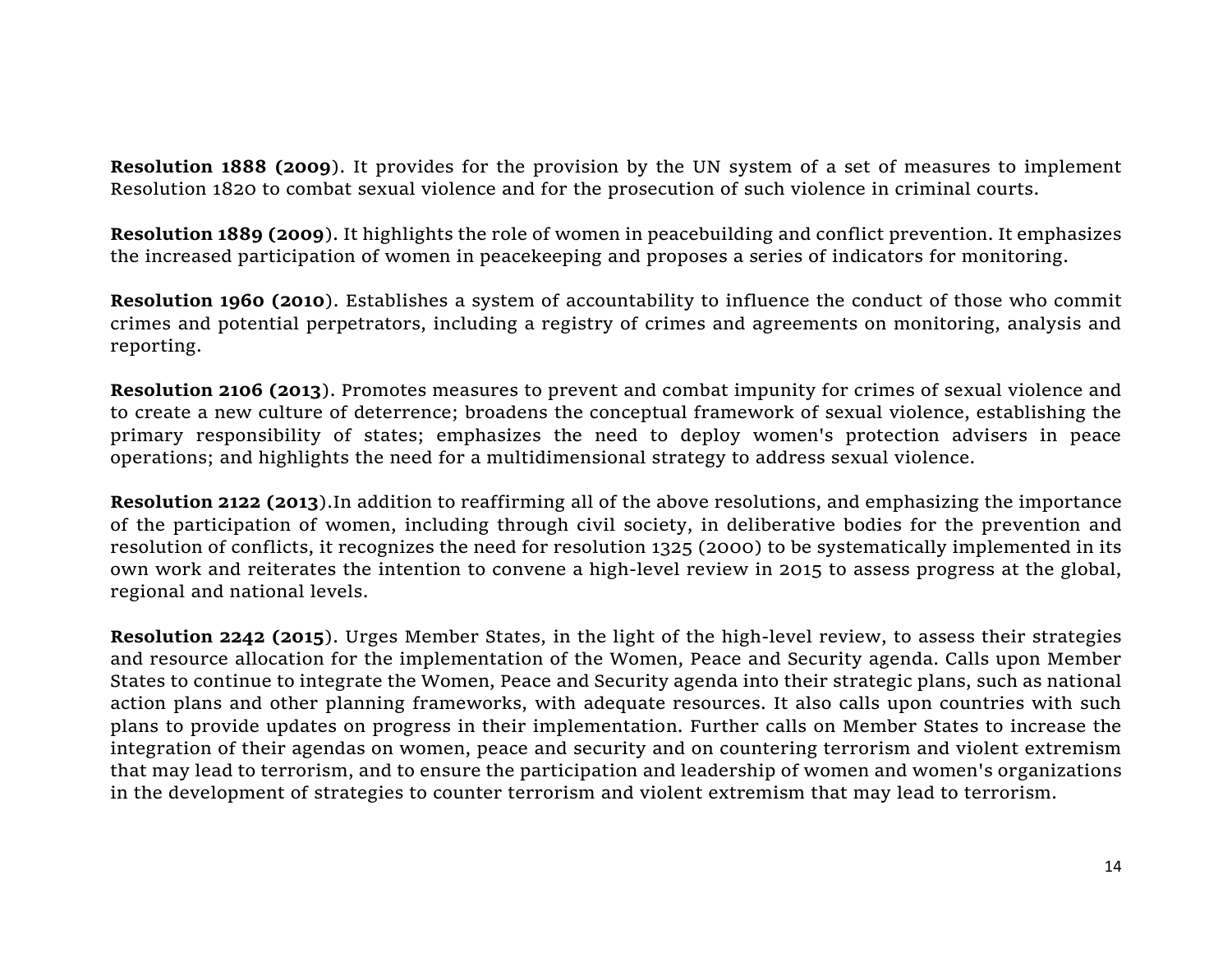**Resolution 1888 (2009**). It provides for the provision by the UN system of a set of measures to implement Resolution 1820 to combat sexual violence and for the prosecution of such violence in criminal courts.

**Resolution 1889 (2009**). It highlights the role of women in peacebuilding and conflict prevention. It emphasizes the increased participation of women in peacekeeping and proposes a series of indicators for monitoring.

**Resolution 1960 (2010**). Establishes a system of accountability to influence the conduct of those who commit crimes and potential perpetrators, including a registry of crimes and agreements on monitoring, analysis and reporting.

**Resolution 2106 (2013**). Promotes measures to prevent and combat impunity for crimes of sexual violence and to create a new culture of deterrence; broadens the conceptual framework of sexual violence, establishing the primary responsibility of states; emphasizes the need to deploy women's protection advisers in peace operations; and highlights the need for a multidimensional strategy to address sexual violence.

**Resolution 2122 (2013**).In addition to reaffirming all of the above resolutions, and emphasizing the importance of the participation of women, including through civil society, in deliberative bodies for the prevention and resolution of conflicts, it recognizes the need for resolution 1325 (2000) to be systematically implemented in its own work and reiterates the intention to convene a high-level review in 2015 to assess progress at the global, regional and national levels.

**Resolution 2242 (2015**). Urges Member States, in the light of the high-level review, to assess their strategies and resource allocation for the implementation of the Women, Peace and Security agenda. Calls upon Member States to continue to integrate the Women, Peace and Security agenda into their strategic plans, such as national action plans and other planning frameworks, with adequate resources. It also calls upon countries with such plans to provide updates on progress in their implementation. Further calls on Member States to increase the integration of their agendas on women, peace and security and on countering terrorism and violent extremism that may lead to terrorism, and to ensure the participation and leadership of women and women's organizations in the development of strategies to counter terrorism and violent extremism that may lead to terrorism.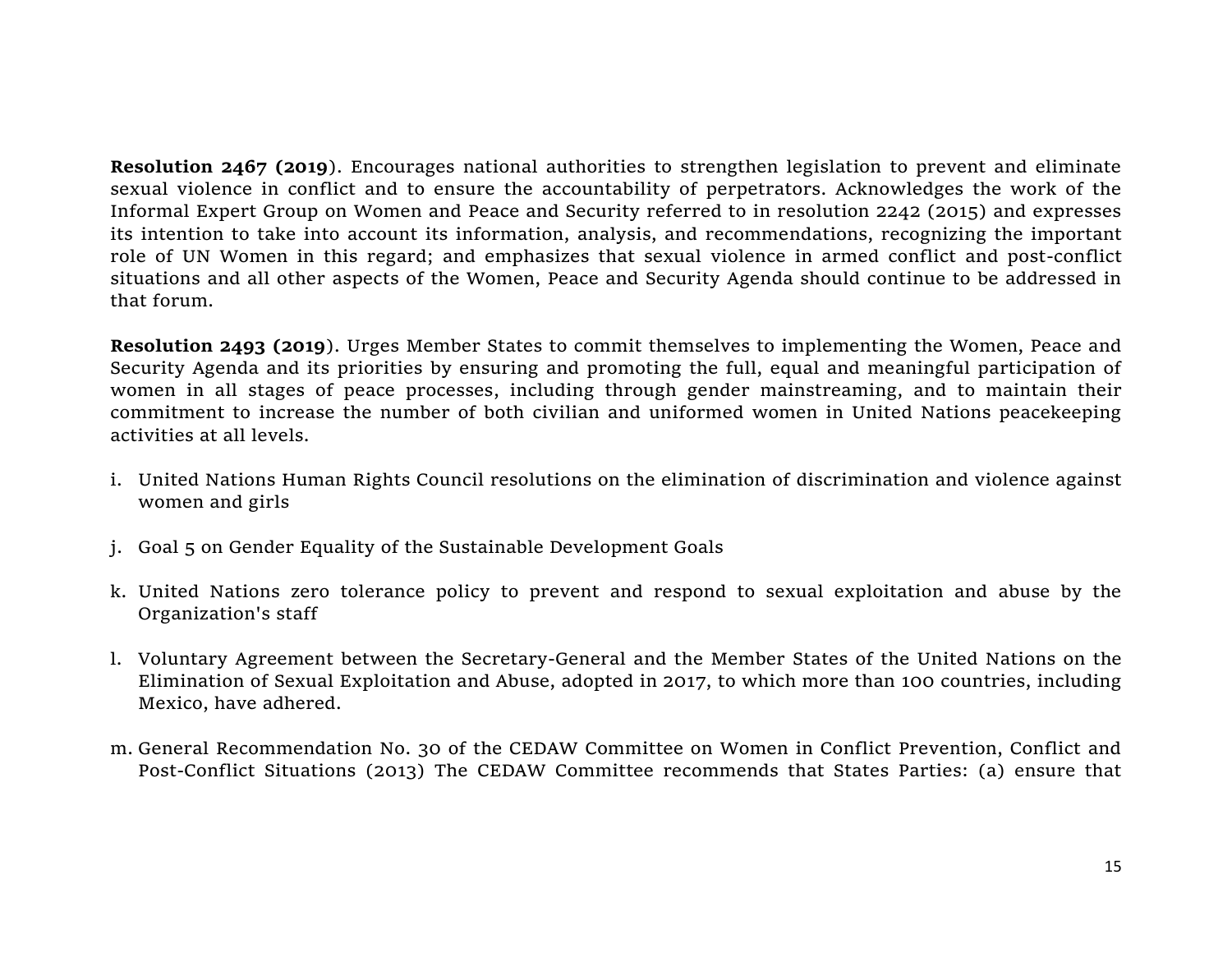**Resolution 2467 (2019**). Encourages national authorities to strengthen legislation to prevent and eliminate sexual violence in conflict and to ensure the accountability of perpetrators. Acknowledges the work of the Informal Expert Group on Women and Peace and Security referred to in resolution 2242 (2015) and expresses its intention to take into account its information, analysis, and recommendations, recognizing the important role of UN Women in this regard; and emphasizes that sexual violence in armed conflict and post-conflict situations and all other aspects of the Women, Peace and Security Agenda should continue to be addressed in that forum.

**Resolution 2493 (2019**). Urges Member States to commit themselves to implementing the Women, Peace and Security Agenda and its priorities by ensuring and promoting the full, equal and meaningful participation of women in all stages of peace processes, including through gender mainstreaming, and to maintain their commitment to increase the number of both civilian and uniformed women in United Nations peacekeeping activities at all levels.

- i. United Nations Human Rights Council resolutions on the elimination of discrimination and violence against women and girls
- j. Goal 5 on Gender Equality of the Sustainable Development Goals
- k. United Nations zero tolerance policy to prevent and respond to sexual exploitation and abuse by the Organization's staff
- l. Voluntary Agreement between the Secretary-General and the Member States of the United Nations on the Elimination of Sexual Exploitation and Abuse, adopted in 2017, to which more than 100 countries, including Mexico, have adhered.
- m. General Recommendation No. 30 of the CEDAW Committee on Women in Conflict Prevention, Conflict and Post-Conflict Situations (2013) The CEDAW Committee recommends that States Parties: (a) ensure that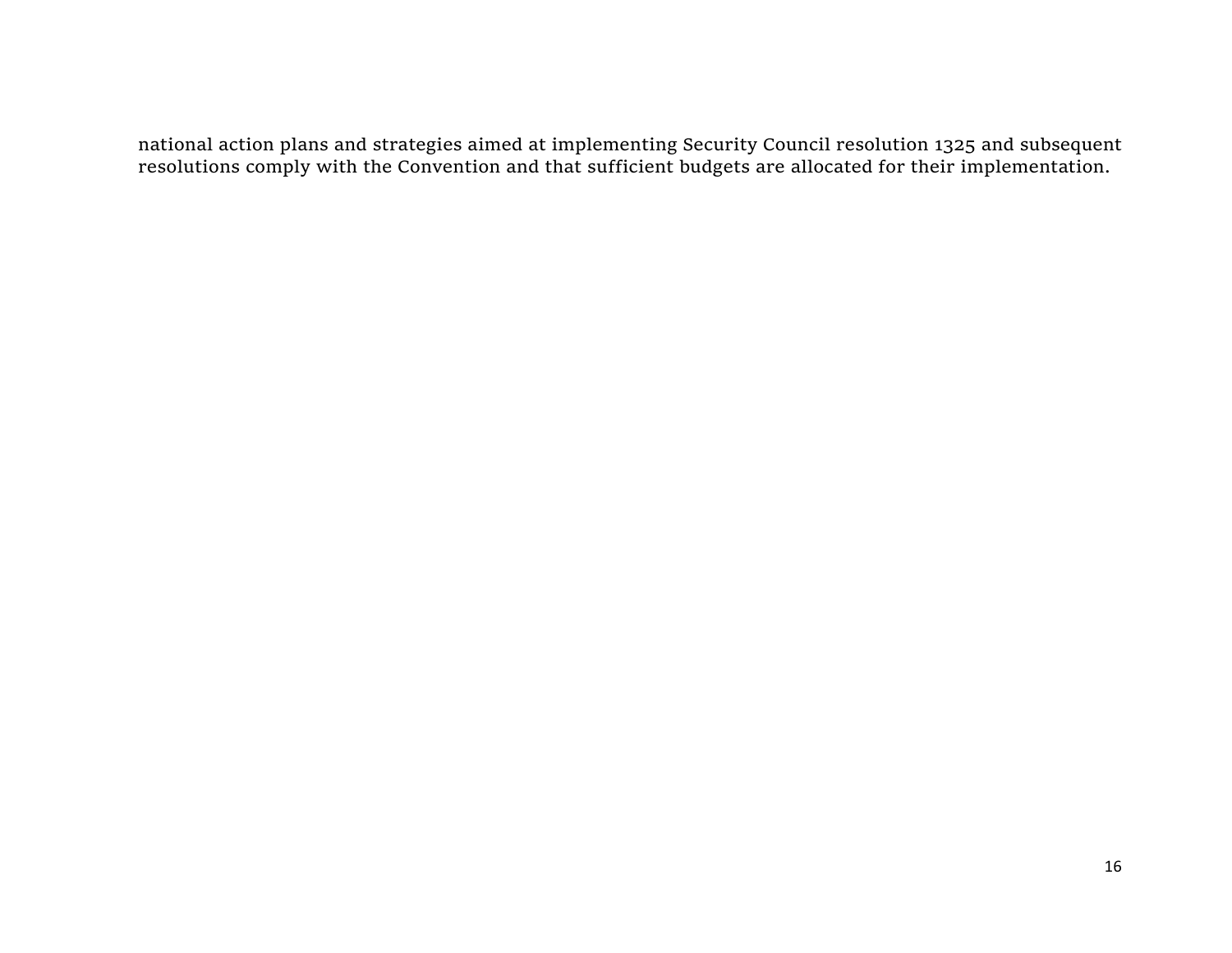national action plans and strategies aimed at implementing Security Council resolution 1325 and subsequent resolutions comply with the Convention and that sufficient budgets are allocated for their implementation.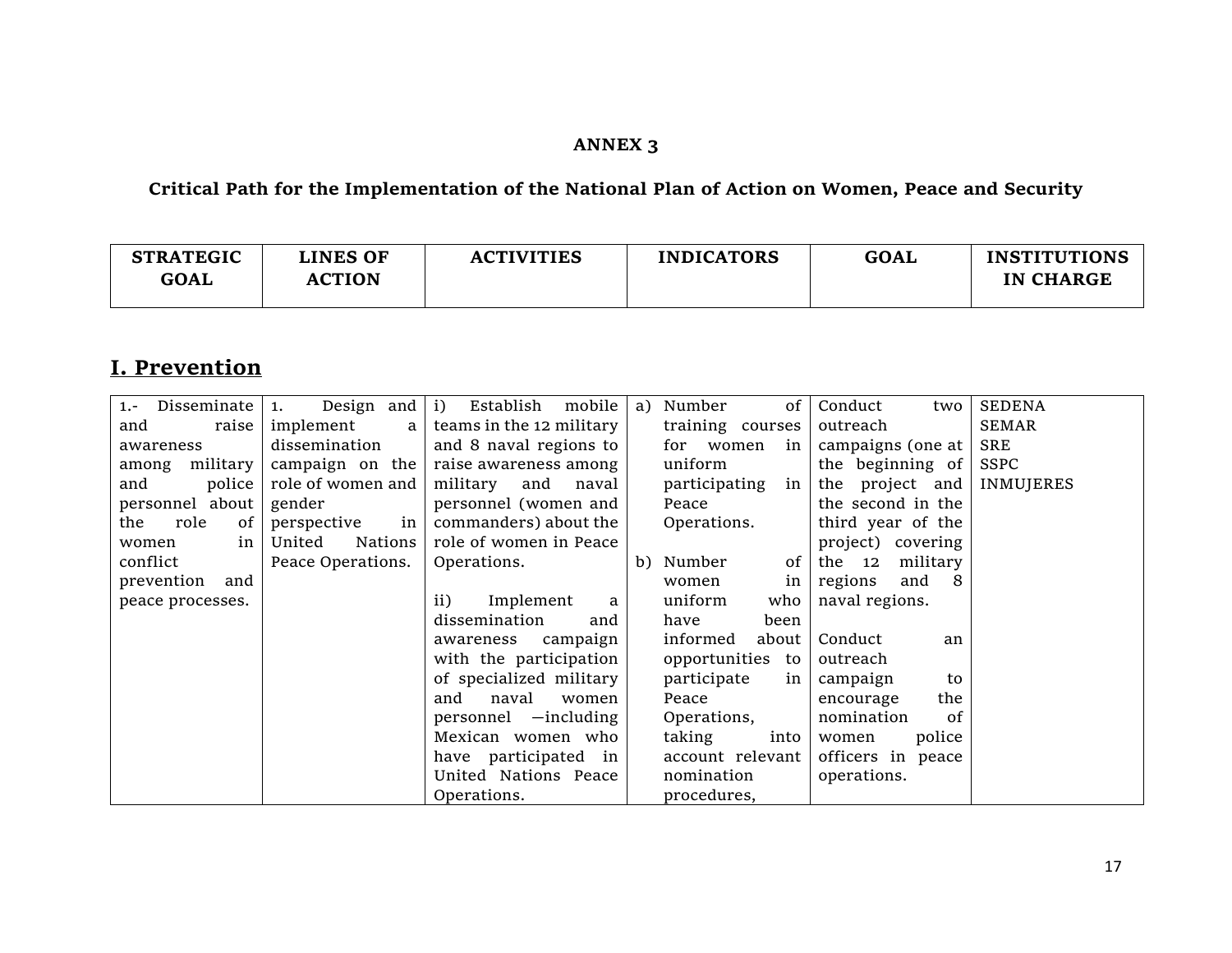## **ANNEX 3**

**Critical Path for the Implementation of the National Plan of Action on Women, Peace and Security**

| <b>STRATEGIC</b><br><b>GOAL</b> | <b>LINES OF</b><br><b>ACTION</b> | <b>ACTIVITIES</b> | <b>INDICATORS</b> | <b>GOAL</b> | <b>INSTITUTIONS</b><br><b>IN CHARGE</b> |
|---------------------------------|----------------------------------|-------------------|-------------------|-------------|-----------------------------------------|
|                                 |                                  |                   |                   |             |                                         |

## **I. Prevention**

| Disseminate<br>$1. -$ | Design and $(i)$<br>1.  | mobile<br>Establish      | a) Number |                  | 0f   | Conduct<br>two     | <b>SEDENA</b>    |
|-----------------------|-------------------------|--------------------------|-----------|------------------|------|--------------------|------------------|
| raise<br>and          | implement<br>a l        | teams in the 12 military |           | training courses |      | outreach           | <b>SEMAR</b>     |
| awareness             | dissemination           | and 8 naval regions to   |           | for women        | in   | campaigns (one at  | SRE              |
| military<br>among     | campaign on the $\vert$ | raise awareness among    | uniform   |                  |      | the beginning of   | SSPC             |
| police<br>and         | role of women and       | military and<br>naval    |           | participating    | in   | the project and    | <b>INMUJERES</b> |
| personnel about       | gender                  | personnel (women and     | Peace     |                  |      | the second in the  |                  |
| role<br>of<br>the     | in<br>perspective       | commanders) about the    |           | Operations.      |      | third year of the  |                  |
| in<br>women           | Nations<br>United       | role of women in Peace   |           |                  |      | project) covering  |                  |
| conflict              | Peace Operations.       | Operations.              | b) Number |                  | of   | military<br>the 12 |                  |
| prevention<br>and     |                         |                          | women     |                  | in   | regions<br>and 8   |                  |
| peace processes.      |                         | Implement<br>ii)<br>a    | uniform   |                  | who  | naval regions.     |                  |
|                       |                         | dissemination<br>and     | have      |                  | been |                    |                  |
|                       |                         | campaign<br>awareness    | informed  | about            |      | Conduct<br>an      |                  |
|                       |                         | with the participation   |           | opportunities to |      | outreach           |                  |
|                       |                         | of specialized military  |           | participate      | in   | campaign<br>to     |                  |
|                       |                         | and<br>naval<br>women    | Peace     |                  |      | the<br>encourage   |                  |
|                       |                         | personnel -including     |           | Operations,      |      | nomination<br>of   |                  |
|                       |                         | Mexican women who        | taking    |                  | into | police<br>women    |                  |
|                       |                         | have participated in     |           | account relevant |      | officers in peace  |                  |
|                       |                         | United Nations Peace     |           | nomination       |      | operations.        |                  |
|                       |                         | Operations.              |           | procedures,      |      |                    |                  |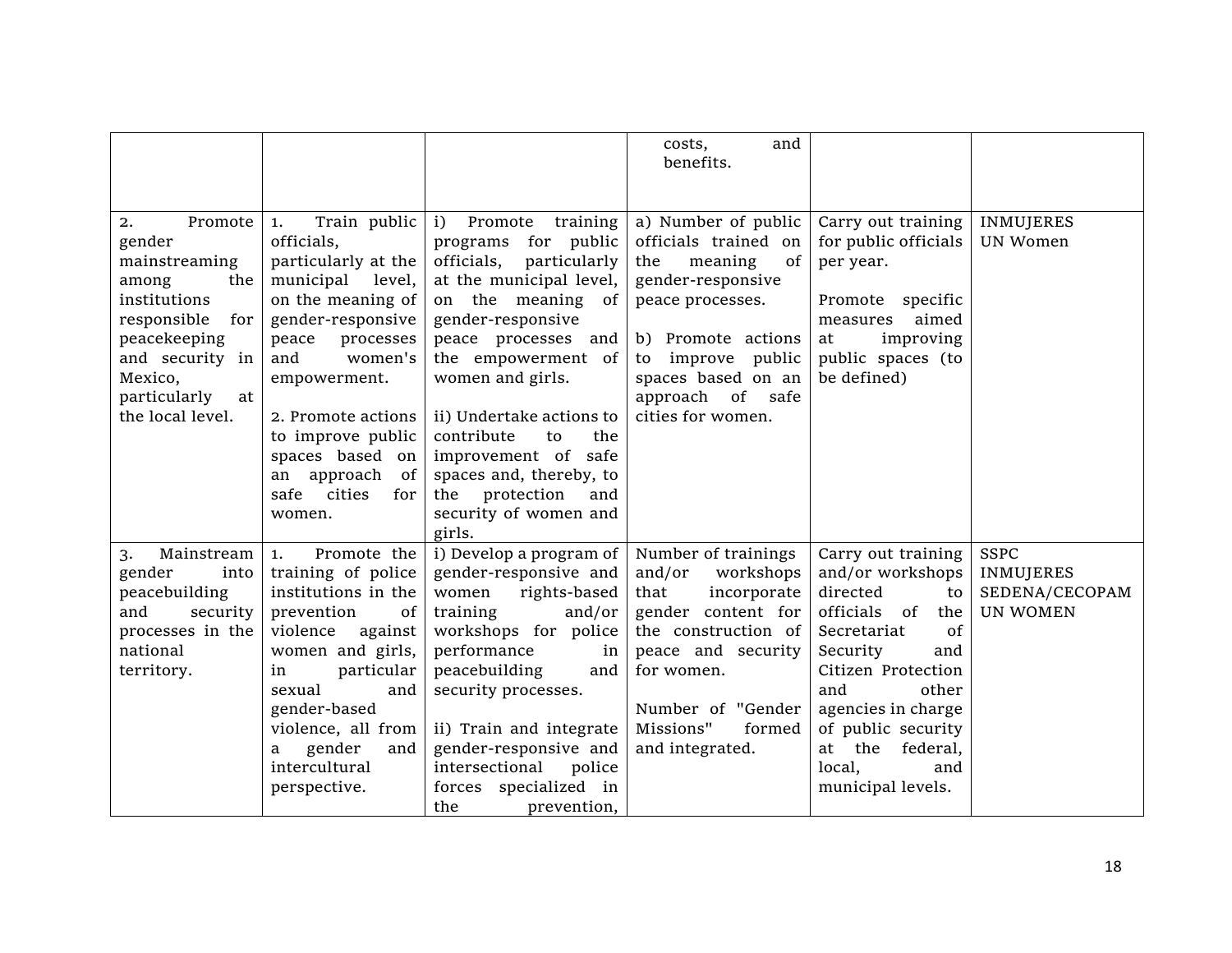|                                                                                                                                                                                        |                                                                                                                                                                                                                                                                                                                  |                                                                                                                                                                                                                                                                                                                                                                                              | costs,<br>and<br>benefits.                                                                                                                                                                                             |                                                                                                                                                                                                                                                                       |                                                                      |
|----------------------------------------------------------------------------------------------------------------------------------------------------------------------------------------|------------------------------------------------------------------------------------------------------------------------------------------------------------------------------------------------------------------------------------------------------------------------------------------------------------------|----------------------------------------------------------------------------------------------------------------------------------------------------------------------------------------------------------------------------------------------------------------------------------------------------------------------------------------------------------------------------------------------|------------------------------------------------------------------------------------------------------------------------------------------------------------------------------------------------------------------------|-----------------------------------------------------------------------------------------------------------------------------------------------------------------------------------------------------------------------------------------------------------------------|----------------------------------------------------------------------|
| Promote<br>2.<br>gender<br>mainstreaming<br>among<br>the<br>institutions<br>responsible<br>for<br>peacekeeping<br>and security in<br>Mexico,<br>particularly<br>at<br>the local level. | Train public<br>1.<br>officials,<br>particularly at the<br>municipal level,<br>on the meaning of<br>gender-responsive<br>peace<br>processes<br>women's<br>and<br>empowerment.<br>2. Promote actions<br>to improve public<br>spaces based on<br>an approach<br>of <sub>l</sub><br>cities<br>safe<br>for<br>women. | i)<br>Promote training<br>for<br>public<br>programs<br>officials,<br>particularly<br>at the municipal level,<br>on the meaning of<br>gender-responsive<br>peace processes and<br>the empowerment of<br>women and girls.<br>ii) Undertake actions to<br>contribute<br>to<br>the<br>improvement of safe<br>spaces and, thereby, to<br>the protection<br>and<br>security of women and<br>girls. | a) Number of public<br>officials trained on<br>meaning<br>the<br>0f<br>gender-responsive<br>peace processes.<br>b) Promote actions<br>to improve public<br>spaces based on an<br>approach of safe<br>cities for women. | Carry out training<br>for public officials<br>per year.<br>Promote specific<br>aimed<br>measures<br>improving<br>at<br>public spaces (to<br>be defined)                                                                                                               | <b>INMUJERES</b><br><b>UN Women</b>                                  |
| Mainstream<br>3.<br>gender<br>into<br>peacebuilding<br>and<br>security<br>processes in the<br>national<br>territory.                                                                   | Promote the<br>1.<br>training of police<br>institutions in the<br>prevention<br>of<br>violence<br>against<br>women and girls,<br>particular<br>in<br>sexual<br>and<br>gender-based<br>violence, all from<br>gender<br>and<br>a<br>intercultural<br>perspective.                                                  | i) Develop a program of<br>gender-responsive and<br>rights-based<br>women<br>training<br>and/or<br>workshops for police<br>performance<br>in<br>peacebuilding<br>and<br>security processes.<br>ii) Train and integrate<br>gender-responsive and<br>intersectional<br>police<br>forces specialized in<br>the<br>prevention,                                                                   | Number of trainings<br>and/or<br>workshops<br>that<br>incorporate<br>gender content for<br>the construction of<br>peace and security<br>for women.<br>Number of "Gender<br>Missions"<br>formed<br>and integrated.      | Carry out training<br>and/or workshops<br>directed<br>to<br>officials<br>of<br>the<br>Secretariat<br>of<br>Security<br>and<br>Citizen Protection<br>and<br>other<br>agencies in charge<br>of public security<br>at the federal,<br>local,<br>and<br>municipal levels. | <b>SSPC</b><br><b>INMUJERES</b><br>SEDENA/CECOPAM<br><b>UN WOMEN</b> |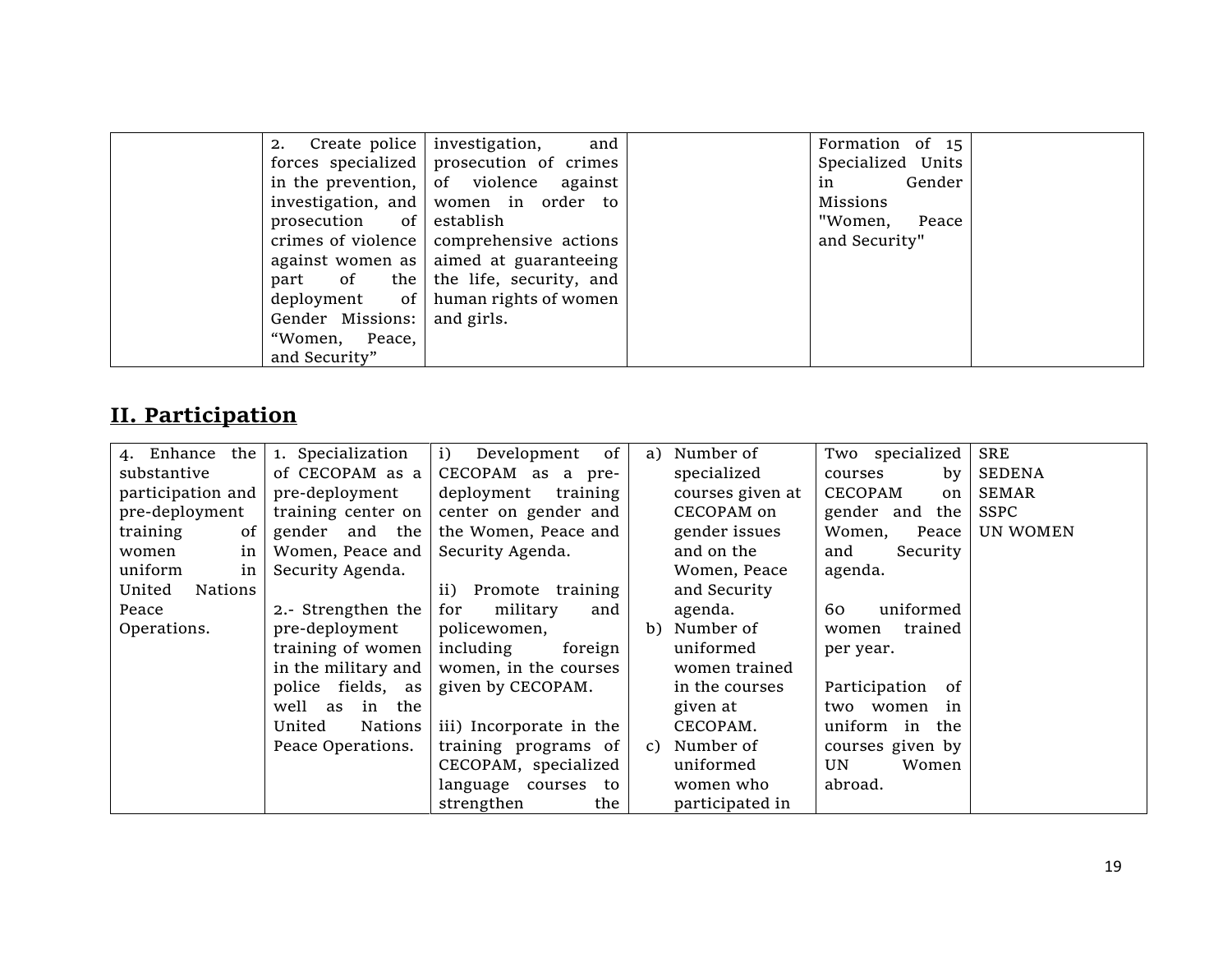|                             | 2. Create police investigation, and            | Formation of 15   |  |
|-----------------------------|------------------------------------------------|-------------------|--|
|                             | forces specialized prosecution of crimes       | Specialized Units |  |
|                             | in the prevention, of violence against         | in Gender         |  |
|                             | investigation, and women in order to           | Missions          |  |
| prosecution of establish    |                                                | "Women, Peace     |  |
|                             | crimes of violence   comprehensive actions     | and Security"     |  |
|                             | against women as $\vert$ aimed at guaranteeing |                   |  |
|                             | part of the the life, security, and            |                   |  |
|                             | deployment of $\vert$ human rights of women    |                   |  |
| Gender Missions: and girls. |                                                |                   |  |
| "Women, Peace,              |                                                |                   |  |
| and Security"               |                                                |                   |  |

## **II. Participation**

| the<br>4. Enhance | 1. Specialization   | of<br>i)<br>Development | Number of<br>a)  | Two specialized      | <b>SRE</b>    |
|-------------------|---------------------|-------------------------|------------------|----------------------|---------------|
| substantive       | of CECOPAM as a     | CECOPAM as a pre-       | specialized      | by<br>courses        | <b>SEDENA</b> |
| participation and | pre-deployment      | deployment<br>training  | courses given at | <b>CECOPAM</b><br>on | <b>SEMAR</b>  |
| pre-deployment    | training center on  | center on gender and    | CECOPAM on       | gender and the       | <b>SSPC</b>   |
| training<br>0f    | gender and the      | the Women, Peace and    | gender issues    | Women,<br>Peace      | UN WOMEN      |
| in<br>women       | Women, Peace and    | Security Agenda.        | and on the       | and<br>Security      |               |
| uniform<br>in     | Security Agenda.    |                         | Women, Peace     | agenda.              |               |
| United<br>Nations |                     | Promote training<br>ii) | and Security     |                      |               |
| Peace             | 2.- Strengthen the  | military<br>for<br>and  | agenda.          | uniformed<br>60      |               |
| Operations.       | pre-deployment      | policewomen,            | Number of<br>b)  | trained<br>women     |               |
|                   | training of women   | including<br>foreign    | uniformed        | per year.            |               |
|                   | in the military and | women, in the courses   | women trained    |                      |               |
|                   | police fields, as   | given by CECOPAM.       | in the courses   | Participation<br>0f  |               |
|                   | well as<br>in the   |                         | given at         | two women<br>in      |               |
|                   | United<br>Nations   | iii) Incorporate in the | CECOPAM.         | uniform in<br>the    |               |
|                   | Peace Operations.   | training programs of    | Number of<br>C)  | courses given by     |               |
|                   |                     | CECOPAM, specialized    | uniformed        | Women<br>UN.         |               |
|                   |                     | language courses to     | women who        | abroad.              |               |
|                   |                     | the<br>strengthen       | participated in  |                      |               |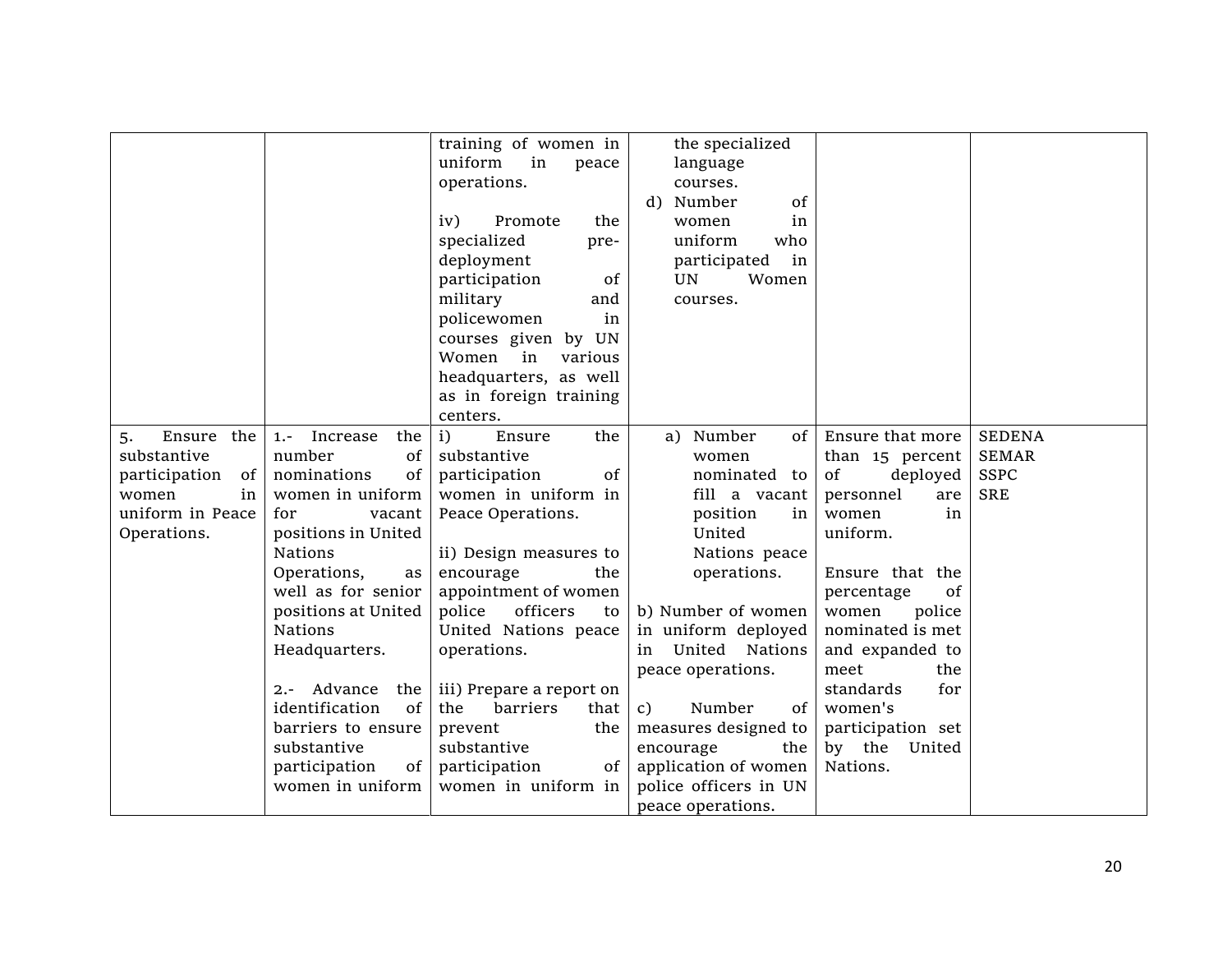|                     |                            | training of women in     | the specialized              |                   |               |
|---------------------|----------------------------|--------------------------|------------------------------|-------------------|---------------|
|                     |                            | uniform<br>in<br>peace   | language                     |                   |               |
|                     |                            | operations.              | courses.                     |                   |               |
|                     |                            |                          | Number<br>of<br>d)           |                   |               |
|                     |                            | iv)<br>Promote<br>the    | women<br>in                  |                   |               |
|                     |                            | specialized<br>pre-      | uniform<br>who               |                   |               |
|                     |                            | deployment               | participated<br>in           |                   |               |
|                     |                            | participation<br>of      | UN<br>Women                  |                   |               |
|                     |                            | military<br>and          | courses.                     |                   |               |
|                     |                            | policewomen<br>in        |                              |                   |               |
|                     |                            | UN<br>courses given by   |                              |                   |               |
|                     |                            | in<br>Women<br>various   |                              |                   |               |
|                     |                            | headquarters, as well    |                              |                   |               |
|                     |                            | as in foreign training   |                              |                   |               |
|                     |                            | centers.                 |                              |                   |               |
| Ensure the<br>5.    | Increase<br>$1.7 -$<br>the | i)<br>Ensure<br>the      | a) Number<br>$of \vert$      | Ensure that more  | <b>SEDENA</b> |
| substantive         | number<br>0f               | substantive              | women                        | than 15 percent   | <b>SEMAR</b>  |
| participation<br>of | nominations<br>0f          | participation<br>of      | nominated to                 | deployed<br>of    | <b>SSPC</b>   |
| in<br>women         | women in uniform           | women in uniform in      | fill a vacant                | personnel<br>are  | <b>SRE</b>    |
| uniform in Peace    | for<br>vacant              | Peace Operations.        | position<br>in               | women<br>in       |               |
| Operations.         | positions in United        |                          | United                       | uniform.          |               |
|                     | <b>Nations</b>             | ii) Design measures to   | Nations peace                |                   |               |
|                     | Operations,<br>as          | encourage<br>the         | operations.                  | Ensure that the   |               |
|                     | well as for senior         | appointment of women     |                              | of<br>percentage  |               |
|                     | positions at United        | officers<br>police<br>to | b) Number of women           | women<br>police   |               |
|                     | Nations                    | United Nations peace     | in uniform deployed          | nominated is met  |               |
|                     | Headquarters.              | operations.              | United Nations<br>in         | and expanded to   |               |
|                     |                            |                          | peace operations.            | meet<br>the       |               |
|                     | Advance<br>the<br>$2. -$   | iii) Prepare a report on |                              | standards<br>for  |               |
|                     | identification<br>of       | barriers<br>the<br>that  | Number<br>of<br>$\mathbf{C}$ | women's           |               |
|                     | barriers to ensure         | prevent<br>the           | measures designed to         | participation set |               |
|                     | substantive                | substantive              | encourage<br>the             | by the United     |               |
|                     | participation<br>of        | participation<br>of      | application of women         | Nations.          |               |
|                     | women in uniform           | women in uniform in      | police officers in UN        |                   |               |
|                     |                            |                          | peace operations.            |                   |               |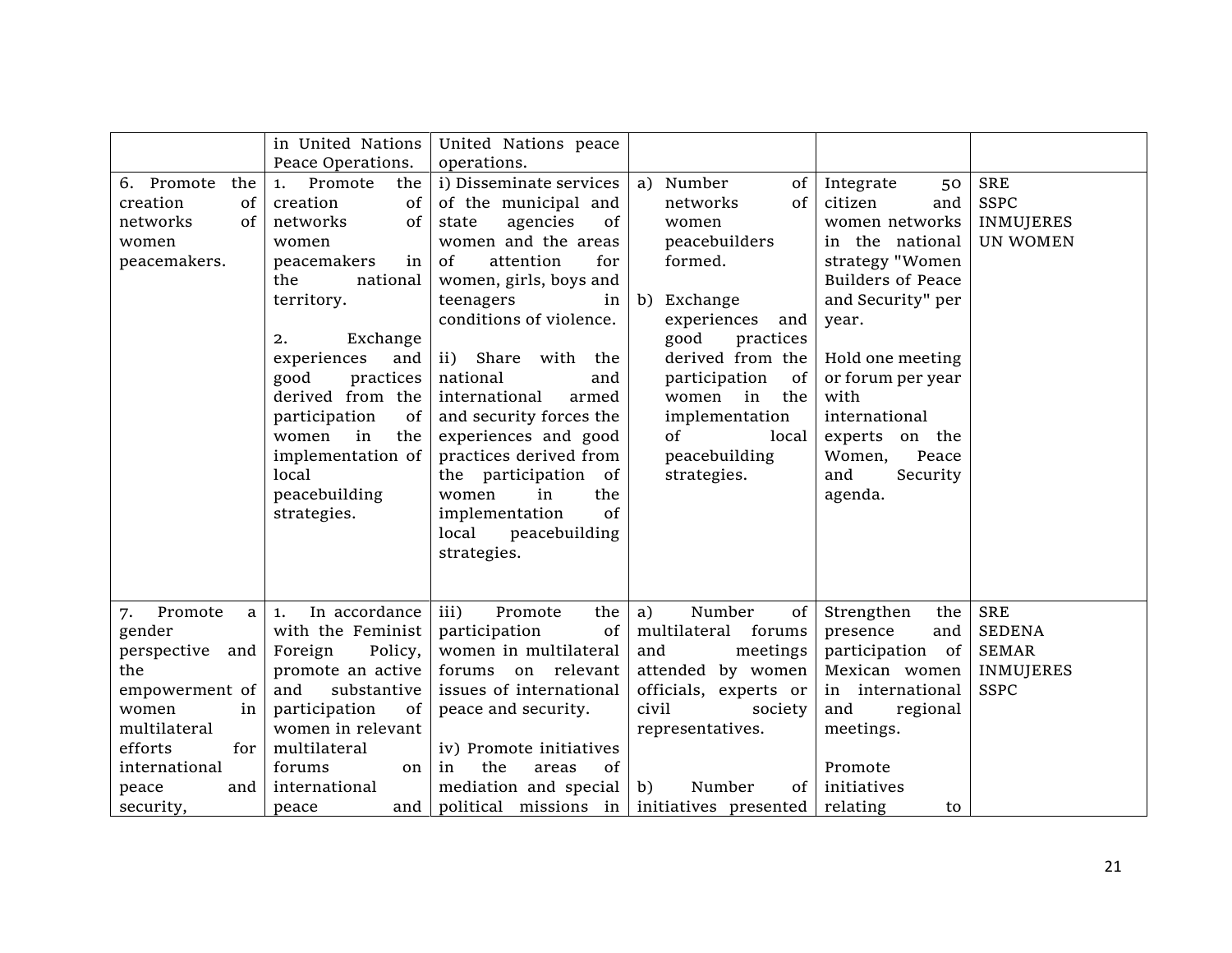|                                                                                                                                                                         | in United Nations                                                                                                                                                                                                                                                                                                                        | United Nations peace                                                                                                                                                                                                                                                                                                                                                                                                                                                                           |                                                                                                                                                                                                                                                              |                                                                                                                                                                                                                                                                                          |                                                                                |
|-------------------------------------------------------------------------------------------------------------------------------------------------------------------------|------------------------------------------------------------------------------------------------------------------------------------------------------------------------------------------------------------------------------------------------------------------------------------------------------------------------------------------|------------------------------------------------------------------------------------------------------------------------------------------------------------------------------------------------------------------------------------------------------------------------------------------------------------------------------------------------------------------------------------------------------------------------------------------------------------------------------------------------|--------------------------------------------------------------------------------------------------------------------------------------------------------------------------------------------------------------------------------------------------------------|------------------------------------------------------------------------------------------------------------------------------------------------------------------------------------------------------------------------------------------------------------------------------------------|--------------------------------------------------------------------------------|
| 6. Promote<br>the<br>creation<br>of<br>networks<br>0f<br>women<br>peacemakers.                                                                                          | Peace Operations.<br>Promote<br>the<br>1.<br>creation<br>of<br>of<br>networks<br>women<br>peacemakers<br>in<br>the<br>national<br>territory.<br>Exchange<br>2.<br>experiences<br>and<br>good<br>practices<br>derived from the<br>participation<br>of<br>women<br>in<br>the<br>implementation of<br>local<br>peacebuilding<br>strategies. | operations.<br>i) Disseminate services<br>of the municipal and<br>state<br>agencies<br>0f<br>women and the areas<br>attention<br>for<br>of<br>women, girls, boys and<br>teenagers<br>in<br>conditions of violence.<br>$\mathbf{ii}$<br>Share with the<br>national<br>and<br>international<br>armed<br>and security forces the<br>experiences and good<br>practices derived from<br>the participation of<br>in<br>the<br>women<br>of<br>implementation<br>peacebuilding<br>local<br>strategies. | a) Number<br>of<br>of<br>networks<br>women<br>peacebuilders<br>formed.<br>b) Exchange<br>experiences<br>and<br>practices<br>good<br>derived from the<br>of<br>participation<br>women in the<br>implementation<br>of<br>local<br>peacebuilding<br>strategies. | Integrate<br>50<br>citizen<br>and<br>women networks<br>in the national<br>strategy "Women<br><b>Builders of Peace</b><br>and Security" per<br>year.<br>Hold one meeting<br>or forum per year<br>with<br>international<br>experts on the<br>Women,<br>Peace<br>Security<br>and<br>agenda. | <b>SRE</b><br><b>SSPC</b><br><b>INMUJERES</b><br><b>UN WOMEN</b>               |
| Promote<br>a<br>7.<br>gender<br>perspective and<br>the<br>empowerment of<br>women<br>in<br>multilateral<br>efforts<br>for<br>international<br>and<br>peace<br>security, | In accordance<br>1.<br>with the Feminist<br>Foreign<br>Policy,<br>promote an active<br>and<br>substantive<br>participation<br>of<br>women in relevant<br>multilateral<br>forums<br>on<br>international<br>and<br>peace                                                                                                                   | iii)<br>Promote<br>the<br>participation<br>of<br>women in multilateral<br>forums on relevant<br>issues of international<br>peace and security.<br>iv) Promote initiatives<br>the<br>of<br>in<br>areas<br>mediation and special<br>political missions in initiatives presented                                                                                                                                                                                                                  | Number<br>a)<br>of<br>multilateral forums<br>and<br>meetings<br>attended by women<br>officials, experts or<br>civil<br>society<br>representatives.<br>b)<br>Number<br>$of \mid$                                                                              | Strengthen<br>the<br>presence<br>and<br>participation of<br>Mexican women<br>in international<br>regional<br>and<br>meetings.<br>Promote<br>initiatives<br>relating<br>to                                                                                                                | <b>SRE</b><br><b>SEDENA</b><br><b>SEMAR</b><br><b>INMUJERES</b><br><b>SSPC</b> |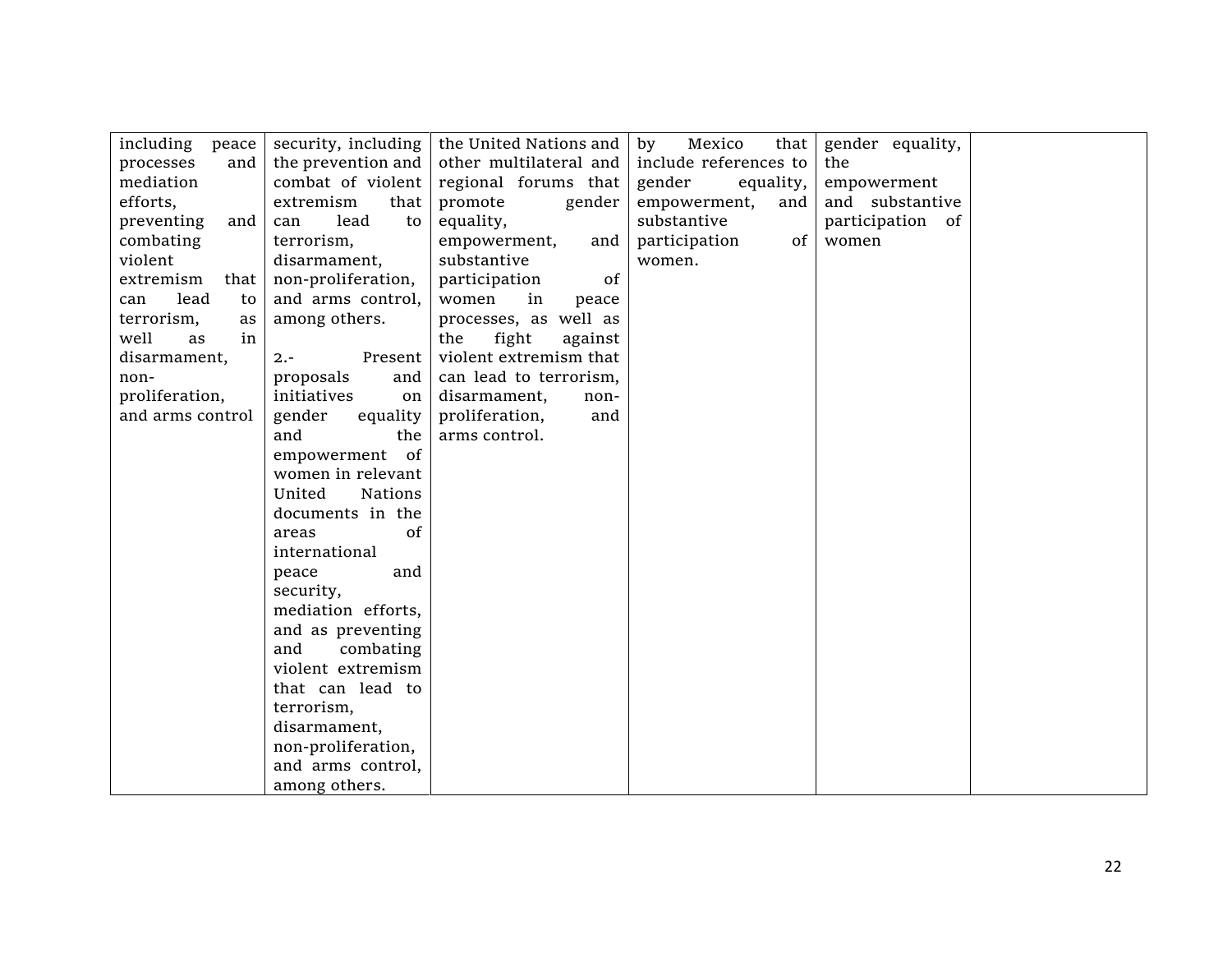| including peace   | security, including      | the United Nations and  | Mexico<br>that  <br>by           | gender equality, |
|-------------------|--------------------------|-------------------------|----------------------------------|------------------|
| processes<br>and  | the prevention and       | other multilateral and  | include references to            | the              |
| mediation         | combat of violent        | regional forums that    | gender<br>equality,              | empowerment      |
| efforts,          | extremism<br>that        | promote<br>gender       | empowerment,<br>and              | and substantive  |
| preventing<br>and | lead<br>to<br>can        | equality,               | substantive                      | participation of |
| combating         | terrorism,               | empowerment,<br>and     | participation<br>of <sub>1</sub> | women            |
| violent           | disarmament,             | substantive             | women.                           |                  |
| extremism<br>that | non-proliferation,       | participation<br>of     |                                  |                  |
| lead<br>can<br>to | and arms control,        | women<br>in<br>peace    |                                  |                  |
| terrorism,<br>as  | among others.            | processes, as well as   |                                  |                  |
| well<br>in<br>as  |                          | fight<br>against<br>the |                                  |                  |
| disarmament,      | $2. -$<br>Present        | violent extremism that  |                                  |                  |
| non-              | proposals<br>and         | can lead to terrorism,  |                                  |                  |
| proliferation,    | initiatives<br>on        | disarmament,<br>non-    |                                  |                  |
| and arms control  | gender<br>equality       | proliferation,<br>and   |                                  |                  |
|                   | and<br>the               | arms control.           |                                  |                  |
|                   | empowerment of           |                         |                                  |                  |
|                   | women in relevant        |                         |                                  |                  |
|                   | United<br><b>Nations</b> |                         |                                  |                  |
|                   | documents in the         |                         |                                  |                  |
|                   | of<br>areas              |                         |                                  |                  |
|                   | international            |                         |                                  |                  |
|                   | peace<br>and             |                         |                                  |                  |
|                   | security,                |                         |                                  |                  |
|                   | mediation efforts,       |                         |                                  |                  |
|                   | and as preventing        |                         |                                  |                  |
|                   | combating<br>and         |                         |                                  |                  |
|                   | violent extremism        |                         |                                  |                  |
|                   | that can lead to         |                         |                                  |                  |
|                   | terrorism,               |                         |                                  |                  |
|                   | disarmament,             |                         |                                  |                  |
|                   | non-proliferation,       |                         |                                  |                  |
|                   | and arms control,        |                         |                                  |                  |
|                   | among others.            |                         |                                  |                  |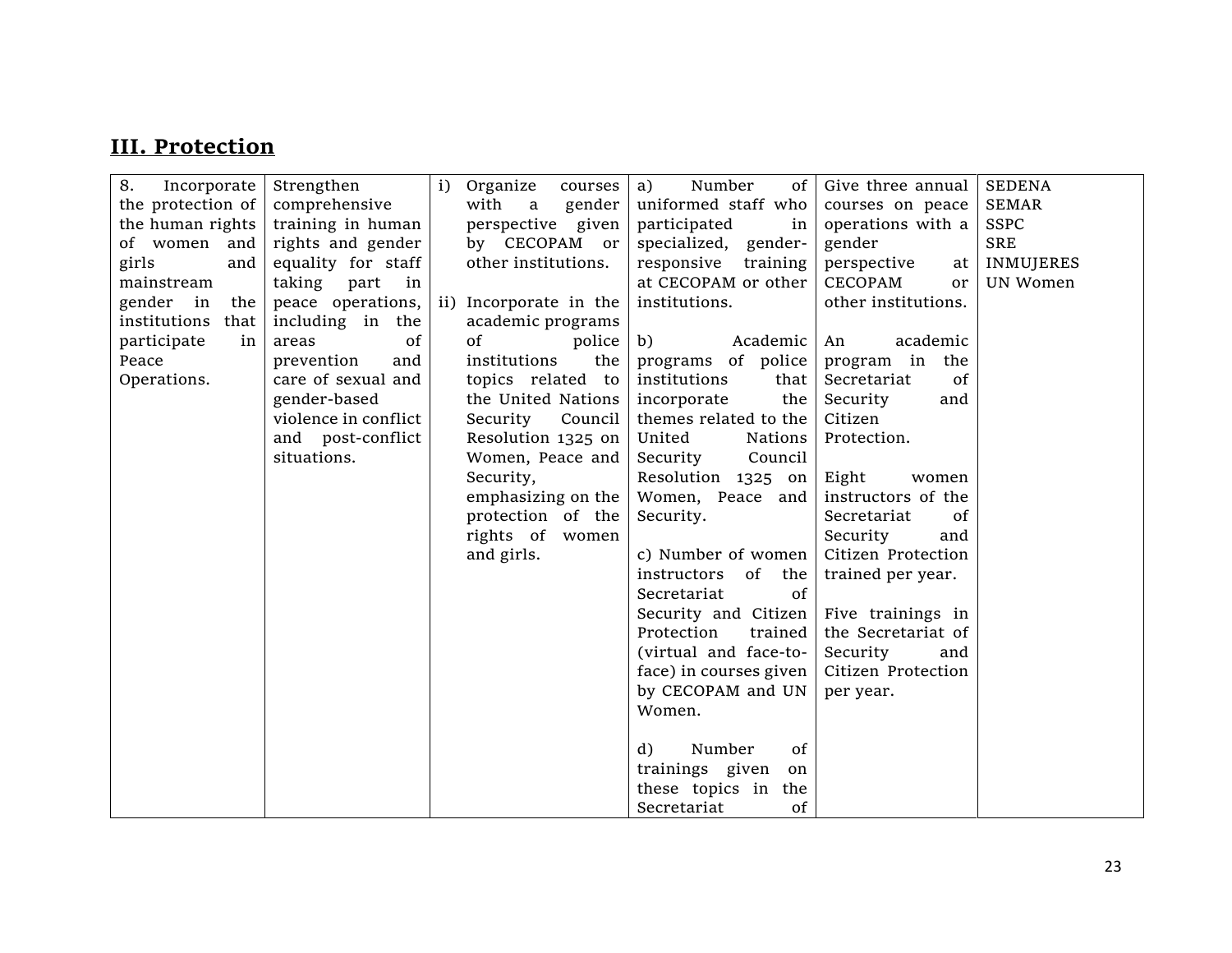## **III. Protection**

| 8.<br>Incorporate    | Strengthen           | i) Organize<br>courses | Number<br>a)<br>of           | Give three annual   | <b>SEDENA</b>    |
|----------------------|----------------------|------------------------|------------------------------|---------------------|------------------|
| the protection of    | comprehensive        | with a<br>gender       | uniformed staff who          | courses on peace    | <b>SEMAR</b>     |
| the human rights     | training in human    | perspective given      | participated<br>in           | operations with a   | <b>SSPC</b>      |
| of women and         | rights and gender    | by CECOPAM or          | specialized, gender-         | gender              | <b>SRE</b>       |
| girls<br>and         | equality for staff   | other institutions.    | responsive<br>training       | perspective<br>at   | <b>INMUJERES</b> |
| mainstream           | taking part<br>in    |                        | at CECOPAM or other          | CECOPAM<br>or       | UN Women         |
| gender in the        | peace operations,    | ii) Incorporate in the | institutions.                | other institutions. |                  |
| institutions<br>that | including in the     | academic programs      |                              |                     |                  |
| participate<br>in    | of<br>areas          | of<br>police           | b)<br>Academic               | academic<br>An      |                  |
| Peace                | prevention<br>and    | institutions<br>the    | programs of police           | program in the      |                  |
| Operations.          | care of sexual and   | topics related to      | institutions<br>that         | 0f<br>Secretariat   |                  |
|                      | gender-based         | the United Nations     | incorporate<br>the           | Security<br>and     |                  |
|                      | violence in conflict | Security<br>Council    | themes related to the        | Citizen             |                  |
|                      | and post-conflict    | Resolution 1325 on     | United<br>Nations            | Protection.         |                  |
|                      | situations.          | Women, Peace and       | Security<br>Council          |                     |                  |
|                      |                      | Security,              | Resolution 1325 on           | Eight<br>women      |                  |
|                      |                      | emphasizing on the     | Women, Peace and             | instructors of the  |                  |
|                      |                      | protection of the      | Security.                    | Secretariat<br>0f   |                  |
|                      |                      | rights of women        |                              | Security<br>and     |                  |
|                      |                      | and girls.             | c) Number of women           | Citizen Protection  |                  |
|                      |                      |                        | instructors<br>0f<br>the     | trained per year.   |                  |
|                      |                      |                        | of<br>Secretariat            |                     |                  |
|                      |                      |                        | Security and Citizen         | Five trainings in   |                  |
|                      |                      |                        | Protection<br>trained        | the Secretariat of  |                  |
|                      |                      |                        | (virtual and face-to-        | Security<br>and     |                  |
|                      |                      |                        | face) in courses given       | Citizen Protection  |                  |
|                      |                      |                        | by CECOPAM and UN            | per year.           |                  |
|                      |                      |                        | Women.                       |                     |                  |
|                      |                      |                        |                              |                     |                  |
|                      |                      |                        | d)<br>of<br>Number           |                     |                  |
|                      |                      |                        | trainings given<br>on        |                     |                  |
|                      |                      |                        | these topics in<br>the       |                     |                  |
|                      |                      |                        | Secretariat<br><sub>of</sub> |                     |                  |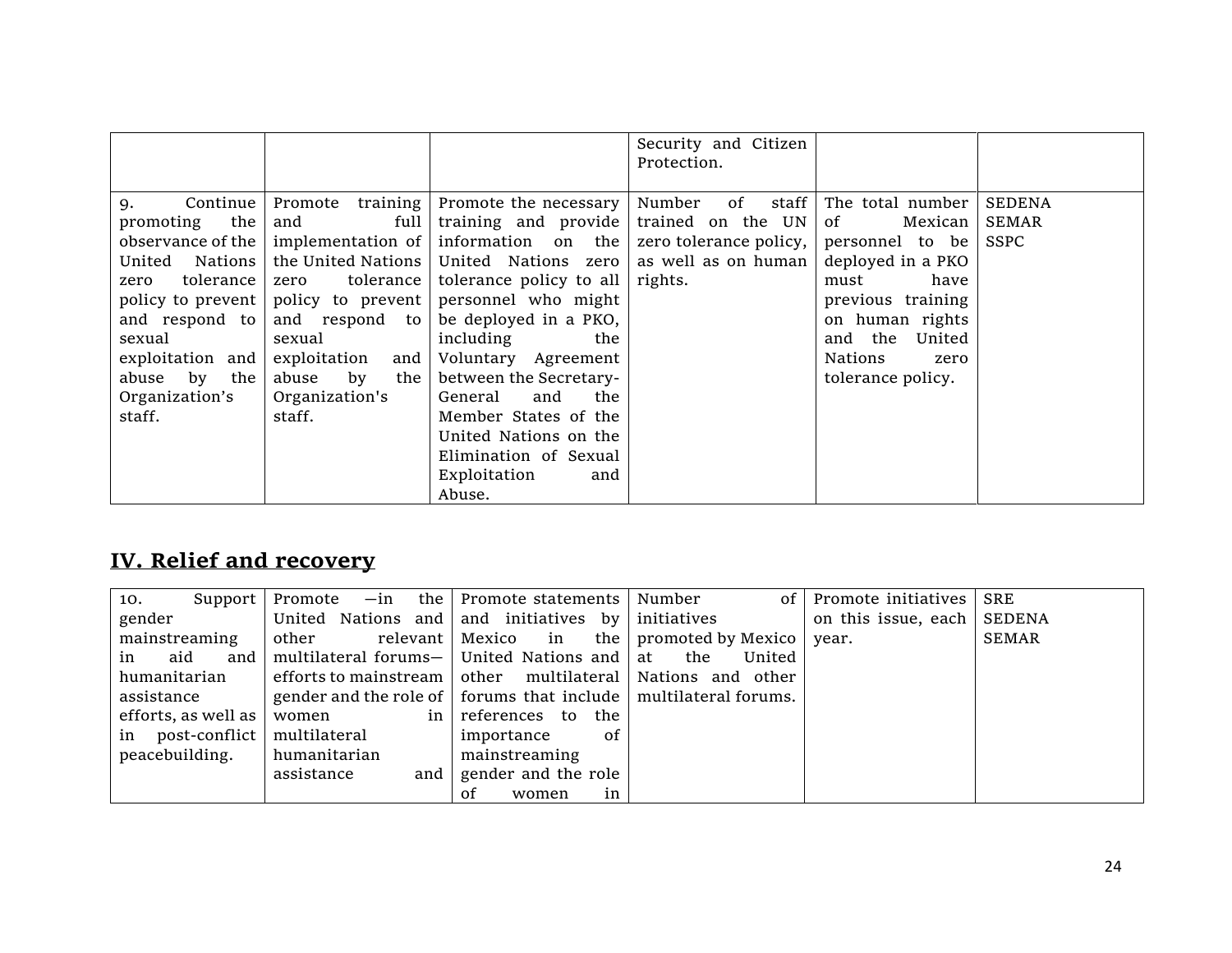|                                                                                                                                                                 |                                                                                                                                                                                           |                                                                                                                                                                                                                                                                                                                                                                                                                                                                                                                                  | Security and Citizen<br>Protection. |                                                                                                                                                                                   |                                       |
|-----------------------------------------------------------------------------------------------------------------------------------------------------------------|-------------------------------------------------------------------------------------------------------------------------------------------------------------------------------------------|----------------------------------------------------------------------------------------------------------------------------------------------------------------------------------------------------------------------------------------------------------------------------------------------------------------------------------------------------------------------------------------------------------------------------------------------------------------------------------------------------------------------------------|-------------------------------------|-----------------------------------------------------------------------------------------------------------------------------------------------------------------------------------|---------------------------------------|
| Continue<br>9.<br>promoting the<br>United Nations<br>zero tolerance<br>and respond to<br>sexual<br>exploitation and<br>abuse by the<br>Organization's<br>staff. | and full<br>the United Nations<br>zero tolerance<br>policy to prevent   policy to prevent  <br>and respond to<br>sexual<br>$exploitation$ and<br>abuse by the<br>Organization's<br>staff. | Promote training   Promote the necessary  <br>training and provide trained on the $UN$<br>observance of the   implementation of   information on the   zero tolerance policy,   personnel to be  <br>United Nations zero as well as on human<br>tolerance policy to all<br>personnel who might<br>be deployed in a PKO,<br>including<br>the<br>Voluntary Agreement<br>between the Secretary-<br>General<br>and<br>the<br>Member States of the<br>United Nations on the<br>Elimination of Sexual<br>Exploitation<br>and<br>Abuse. | Number of staff<br>rights.          | The total number<br>$\sigma$ of<br>Mexican<br>deployed in a PKO<br>must<br>have<br>previous training<br>on human rights<br>and the United<br>Nations<br>zero<br>tolerance policy. | <b>SEDENA</b><br><b>SEMAR</b><br>SSPC |

# **IV. Relief and recovery**

| Support<br>10.          | Promote                                                                         | -in the Promote statements Number         | of l   | Promote initiatives          | <b>SRE</b>   |
|-------------------------|---------------------------------------------------------------------------------|-------------------------------------------|--------|------------------------------|--------------|
| gender                  | United Nations and and initiatives by initiatives                               |                                           |        | on this issue, each   SEDENA |              |
| mainstreaming           | other                                                                           | relevant Mexico in the promoted by Mexico |        | year.                        | <b>SEMAR</b> |
| aid<br>in               | and   multilateral forums $-$   United Nations and $\vert$ at the               |                                           | United |                              |              |
| humanitarian            | efforts to mainstream $\vert$ other multilateral $\vert$ Nations and other      |                                           |        |                              |              |
| assistance              | gender and the role of $\vert$ forums that include $\vert$ multilateral forums. |                                           |        |                              |              |
| efforts, as well as $ $ | in<br>women                                                                     | references to<br>the                      |        |                              |              |
| in post-conflict        | multilateral                                                                    | 0f<br>importance                          |        |                              |              |
| peacebuilding.          | humanitarian                                                                    | mainstreaming                             |        |                              |              |
|                         | assistance<br>and                                                               | gender and the role                       |        |                              |              |
|                         |                                                                                 | in<br>women<br>Ωt                         |        |                              |              |